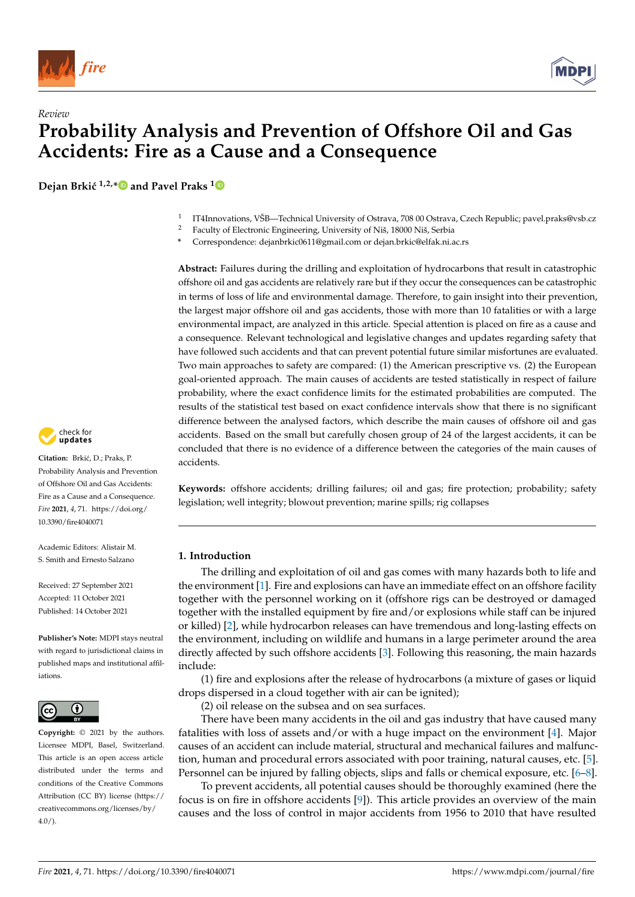

## *Review* **Probability Analysis and Prevention of Offshore Oil and Gas Accidents: Fire as a Cause and a Consequence**

**Dejan Brkić** <sup>1,2,\*</sup> and Pavel Praks<sup>1</sup>



- <sup>2</sup> Faculty of Electronic Engineering, University of Niš, 18000 Niš, Serbia
- **\*** Correspondence: dejanbrkic0611@gmail.com or dejan.brkic@elfak.ni.ac.rs

**Abstract:** Failures during the drilling and exploitation of hydrocarbons that result in catastrophic offshore oil and gas accidents are relatively rare but if they occur the consequences can be catastrophic in terms of loss of life and environmental damage. Therefore, to gain insight into their prevention, the largest major offshore oil and gas accidents, those with more than 10 fatalities or with a large environmental impact, are analyzed in this article. Special attention is placed on fire as a cause and a consequence. Relevant technological and legislative changes and updates regarding safety that have followed such accidents and that can prevent potential future similar misfortunes are evaluated. Two main approaches to safety are compared: (1) the American prescriptive vs. (2) the European goal-oriented approach. The main causes of accidents are tested statistically in respect of failure probability, where the exact confidence limits for the estimated probabilities are computed. The results of the statistical test based on exact confidence intervals show that there is no significant difference between the analysed factors, which describe the main causes of offshore oil and gas accidents. Based on the small but carefully chosen group of 24 of the largest accidents, it can be concluded that there is no evidence of a difference between the categories of the main causes of accidents.

**Keywords:** offshore accidents; drilling failures; oil and gas; fire protection; probability; safety legislation; well integrity; blowout prevention; marine spills; rig collapses

#### **1. Introduction**

The drilling and exploitation of oil and gas comes with many hazards both to life and the environment [1]. Fire and explosions can have an immediate effect on an offshore facility together with the personnel working on it (offshore rigs can be destroyed or damaged together with the installed equipment by fire and/or explosions while staff can be injured or killed) [2], while hydrocarbon releases can have tremendous and long-lasting effects on the environment, including on wildlife and humans in a large perimeter around the area directly affected by such offshore accidents [3]. Following this reasoning, the main hazards include:

(1) fire and explosions after the release of hydrocarbons (a mixture of gases or liquid drops dispersed in a cloud together with air can be ignited);

(2) oil release on the subsea and on sea surfaces.

There have been many accidents in the oil and gas industry that have caused many fatalities with loss of assets and/or with a huge impact on the environment [4]. Major causes of an accident can include material, structural and mechanical failures and malfunction, human and procedural errors associated with poor training, natural causes, etc. [5]. Personnel can be injured by falling objects, slips and falls or chemical exposure, etc. [6–8].

To prevent accidents, all potential causes should be thoroughly examined (here the focus is on fire in offshore accidents [9]). This article provides an overview of the main causes and the loss of control in major accidents from 1956 to 2010 that have resulted



**Citation:** Brki´c, D.; Praks, P. Probability Analysis and Prevention of Offshore Oil and Gas Accidents: Fire as a Cause and a Consequence. *Fire* **2021**, *4*, 71. https://doi.org/ 10.3390/fire4040071

Academic Editors: Alistair M. S. Smith and Ernesto Salzano

Received: 27 September 2021 Accepted: 11 October 2021 Published: 14 October 2021

**Publisher's Note:** MDPI stays neutral with regard to jurisdictional claims in published maps and institutional affiliations.



**Copyright:** © 2021 by the authors. Licensee MDPI, Basel, Switzerland. This article is an open access article distributed under the terms and conditions of the Creative Commons Attribution (CC BY) license (https:// creativecommons.org/licenses/by/  $4.0/$ ).

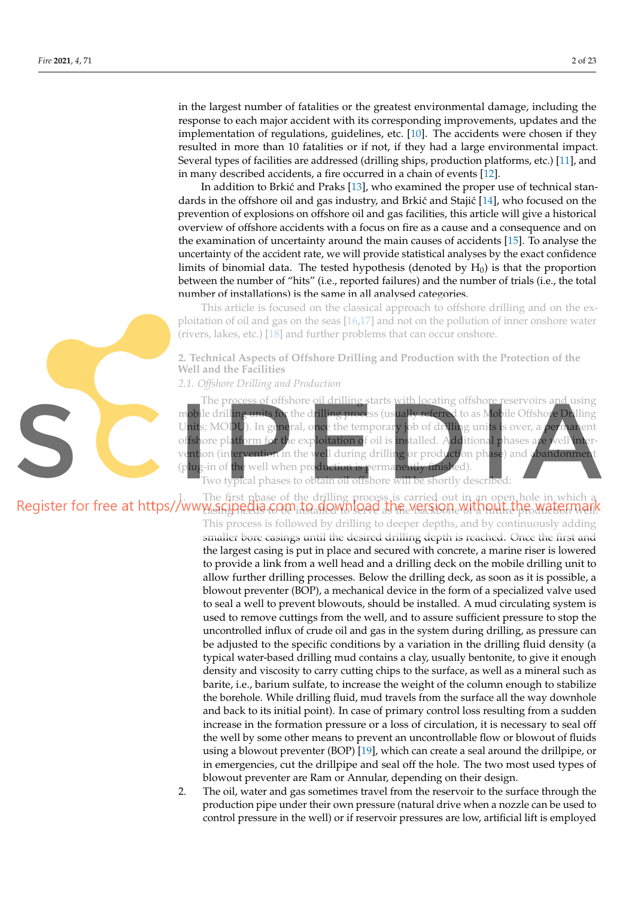in the largest number of fatalities or the greatest environmental damage, including the response to each major accident with its corresponding improvements, updates and the implementation of regulations, guidelines, etc. [10]. The accidents were chosen if they resulted in more than 10 fatalities or if not, if they had a large environmental impact. Several types of facilities are addressed (drilling ships, production platforms, etc.) [11], and in many described accidents, a fire occurred in a chain of events [12].

In addition to Brkić and Praks  $[13]$ , who examined the proper use of technical standards in the offshore oil and gas industry, and Brkić and Stajić [14], who focused on the prevention of explosions on offshore oil and gas facilities, this article will give a historical overview of offshore accidents with a focus on fire as a cause and a consequence and on the examination of uncertainty around the main causes of accidents [15]. To analyse the uncertainty of the accident rate, we will provide statistical analyses by the exact confidence limits of binomial data. The tested hypothesis (denoted by  $H_0$ ) is that the proportion between the number of "hits" (i.e., reported failures) and the number of trials (i.e., the total number of installations) is the same in all analysed categories.

This article is focused on the classical approach to offshore drilling and on the exploitation of oil and gas on the seas [16,17] and not on the pollution of inner onshore water (rivers, lakes, etc.) [18] and further problems that can occur onshore.

**2. Technical Aspects of Offshore Drilling and Production with the Protection of the Well and the Facilities**

*2.1. Offshore Drilling and Production*

The process of offshore oil drilling starts with locating offshore reservoirs and using mobile drilling units for the drilling process (usually referred to as Mobile Offshore Drilling Units; MODU). In general, once the temporary job of drilling units is over, a permanent offshore platform for the exploitation of oil is installed. Additional phases are well int  $\overline{\text{ent}}$ ion (intervention in the well during drilling or production phase) and abandonmen (plug-in of the well when production is permanently finished).

Two typical phases to obtain oil offshore will be shortly described:

## 1. The first phase of the drilling process is carried out in an open hole in which a casing needs to be installed to serve as the backbone of a future production well.

This process is followed by drilling to deeper depths, and by continuously adding smaller bore casings until the desired drilling depth is reached. Once the first and the largest casing is put in place and secured with concrete, a marine riser is lowered to provide a link from a well head and a drilling deck on the mobile drilling unit to allow further drilling processes. Below the drilling deck, as soon as it is possible, a blowout preventer (BOP), a mechanical device in the form of a specialized valve used to seal a well to prevent blowouts, should be installed. A mud circulating system is used to remove cuttings from the well, and to assure sufficient pressure to stop the uncontrolled influx of crude oil and gas in the system during drilling, as pressure can be adjusted to the specific conditions by a variation in the drilling fluid density (a typical water-based drilling mud contains a clay, usually bentonite, to give it enough density and viscosity to carry cutting chips to the surface, as well as a mineral such as barite, i.e., barium sulfate, to increase the weight of the column enough to stabilize the borehole. While drilling fluid, mud travels from the surface all the way downhole and back to its initial point). In case of primary control loss resulting from a sudden increase in the formation pressure or a loss of circulation, it is necessary to seal off the well by some other means to prevent an uncontrollable flow or blowout of fluids using a blowout preventer (BOP) [19], which can create a seal around the drillpipe, or in emergencies, cut the drillpipe and seal off the hole. The two most used types of blowout preventer are Ram or Annular, depending on their design.

2. The oil, water and gas sometimes travel from the reservoir to the surface through the production pipe under their own pressure (natural drive when a nozzle can be used to control pressure in the well) or if reservoir pressures are low, artificial lift is employed

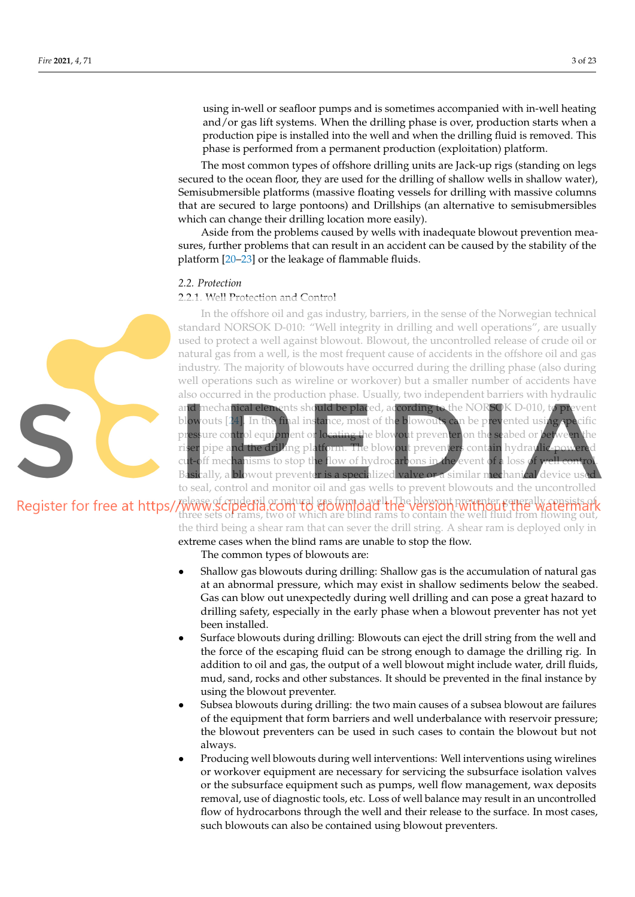using in-well or seafloor pumps and is sometimes accompanied with in-well heating and/or gas lift systems. When the drilling phase is over, production starts when a production pipe is installed into the well and when the drilling fluid is removed. This phase is performed from a permanent production (exploitation) platform.

The most common types of offshore drilling units are Jack-up rigs (standing on legs secured to the ocean floor, they are used for the drilling of shallow wells in shallow water), Semisubmersible platforms (massive floating vessels for drilling with massive columns that are secured to large pontoons) and Drillships (an alternative to semisubmersibles which can change their drilling location more easily).

Aside from the problems caused by wells with inadequate blowout prevention measures, further problems that can result in an accident can be caused by the stability of the platform [20–23] or the leakage of flammable fluids.

#### *2.2. Protection*

### 2.2.1. Well Protection and Control

In the offshore oil and gas industry, barriers, in the sense of the Norwegian technical standard NORSOK D-010: "Well integrity in drilling and well operations", are usually used to protect a well against blowout. Blowout, the uncontrolled release of crude oil or natural gas from a well, is the most frequent cause of accidents in the offshore oil and gas industry. The majority of blowouts have occurred during the drilling phase (also during well operations such as wireline or workover) but a smaller number of accidents have also occurred in the production phase. Usually, two independent barriers with hydraulic mechanical elements should be placed, according to the NORSOK D-010, to prevent blowouts  $[24]$ . In the final instance, most of the blowouts can be prevented using pressure control equipment or locating the blowout preventer on the seabed or between the riser pipe and the drilling platform. The blowout preventers contain hydraulic-powered cut-off mechanisms to stop the flow of hydrocarbons in the event of a loss Basically, a blowout preventer is a specialized valve or a similar mechanical device us to seal, control and monitor oil and gas wells to prevent blowouts and the uncontrolled

Register for free at https//www.scipedia.com to croatural and the blowing the blow prevents of watermark three sets of rams, two of which are blind rams to contain the well fluid from flowing out, the third being a shear ram that can sever the drill string. A shear ram is deployed only in extreme cases when the blind rams are unable to stop the flow.

The common types of blowouts are:

- Shallow gas blowouts during drilling: Shallow gas is the accumulation of natural gas at an abnormal pressure, which may exist in shallow sediments below the seabed. Gas can blow out unexpectedly during well drilling and can pose a great hazard to drilling safety, especially in the early phase when a blowout preventer has not yet been installed.
- Surface blowouts during drilling: Blowouts can eject the drill string from the well and the force of the escaping fluid can be strong enough to damage the drilling rig. In addition to oil and gas, the output of a well blowout might include water, drill fluids, mud, sand, rocks and other substances. It should be prevented in the final instance by using the blowout preventer.
- Subsea blowouts during drilling: the two main causes of a subsea blowout are failures of the equipment that form barriers and well underbalance with reservoir pressure; the blowout preventers can be used in such cases to contain the blowout but not always.
- Producing well blowouts during well interventions: Well interventions using wirelines or workover equipment are necessary for servicing the subsurface isolation valves or the subsurface equipment such as pumps, well flow management, wax deposits removal, use of diagnostic tools, etc. Loss of well balance may result in an uncontrolled flow of hydrocarbons through the well and their release to the surface. In most cases, such blowouts can also be contained using blowout preventers.

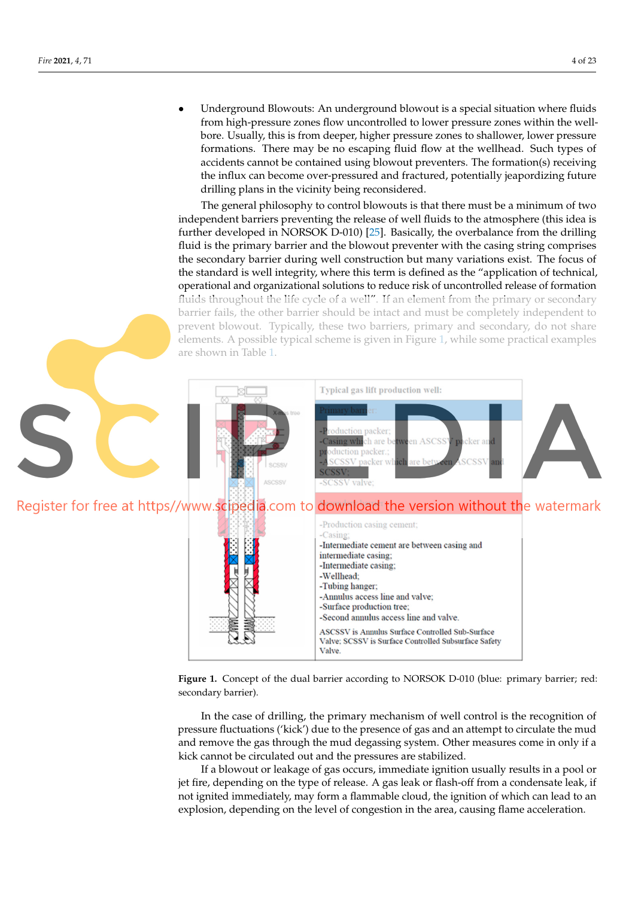• Underground Blowouts: An underground blowout is a special situation where fluids from high-pressure zones flow uncontrolled to lower pressure zones within the wellbore. Usually, this is from deeper, higher pressure zones to shallower, lower pressure formations. There may be no escaping fluid flow at the wellhead. Such types of accidents cannot be contained using blowout preventers. The formation(s) receiving the influx can become over-pressured and fractured, potentially jeapordizing future ‐ drilling plans in the vicinity being reconsidered.

The general philosophy to control blowouts is that there must be a minimum of two independent barriers preventing the release of well fluids to the atmosphere (this idea is further developed in NORSOK D-010) [25]. Basically, the overbalance from the drilling ‐ fluid is the primary barrier and the blowout preventer with the casing string comprises the secondary barrier during well construction but many variations exist. The focus of the standard is well integrity, where this term is defined as the "application of technical, operational and organizational solutions to reduce risk of uncontrolled release of formation fluids throughout the life cycle of a well". If an element from the primary or secondary barrier fails, the other barrier should be intact and must be completely independent to prevent blowout. Typically, these two barriers, primary and secondary, do not share elements. A possible typical scheme is given in Figure 1, while some practical examples are shown in Table 1.



Figure 1. Concept of the dual barrier according to NORSOK D-010 (blue: primary barrier; red: secondary barrier).

In the case of drilling, the primary mechanism of well control is the recognition of pressure fluctuations ('kick') due to the presence of gas and an attempt to circulate the mud and remove the gas through the mud degassing system. Other measures come in only if a kick cannot be circulated out and the pressures are stabilized.

If a blowout or leakage of gas occurs, immediate ignition usually results in a pool or jet fire, depending on the type of release. A gas leak or flash-off from a condensate leak, if not ignited immediately, may form a flammable cloud, the ignition of which can lead to an explosion, depending on the level of congestion in the area, causing flame acceleration.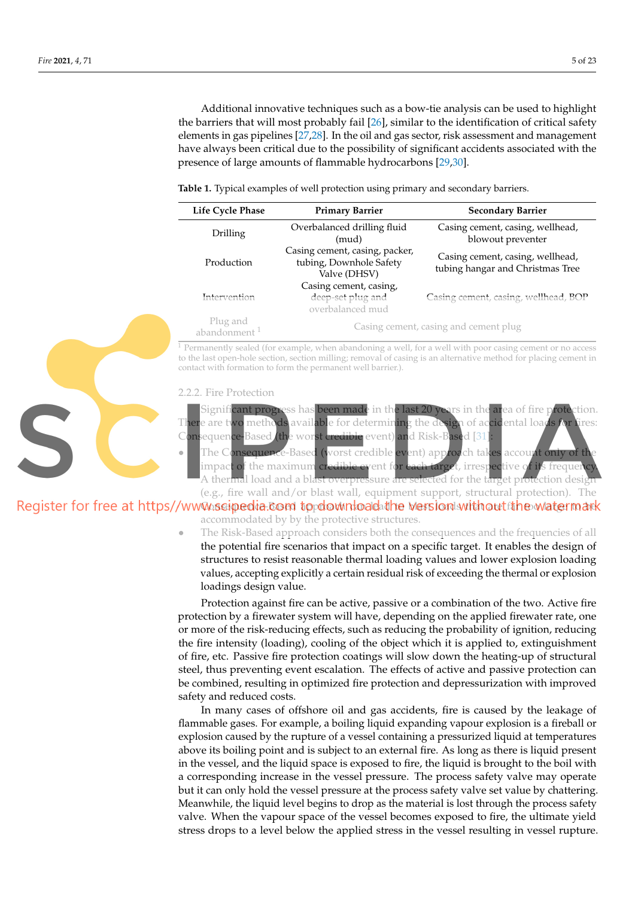Additional innovative techniques such as a bow-tie analysis can be used to highlight the barriers that will most probably fail [26], similar to the identification of critical safety elements in gas pipelines [27,28]. In the oil and gas sector, risk assessment and management have always been critical due to the possibility of significant accidents associated with the presence of large amounts of flammable hydrocarbons [29,30].

**Table 1.** Typical examples of well protection using primary and secondary barriers.

| Life Cycle Phase                     | <b>Primary Barrier</b>                                                    | <b>Secondary Barrier</b>                                             |  |  |  |
|--------------------------------------|---------------------------------------------------------------------------|----------------------------------------------------------------------|--|--|--|
| Drilling                             | Overbalanced drilling fluid<br>(mud)                                      | Casing cement, casing, wellhead,<br>blowout preventer                |  |  |  |
| Production                           | Casing cement, casing, packer,<br>tubing, Downhole Safety<br>Valve (DHSV) | Casing cement, casing, wellhead,<br>tubing hangar and Christmas Tree |  |  |  |
| Intervention                         | Casing cement, casing,<br>deep-set plug and<br>overbalanced mud           | Casing cement, casing, wellhead, BOP                                 |  |  |  |
| Plug and<br>abandonment <sup>1</sup> |                                                                           | Casing cement, casing and cement plug                                |  |  |  |

 $1$  Permanently sealed (for example, when abandoning a well, for a well with poor casing cement or no access to the last open-hole section, section milling; removal of casing is an alternative method for placing cement in contact with formation to form the permanent well barrier.).

#### 2.2.2. Fire Protection

Significant progress has been made in the last 20 years in the area of fire protection. There are two methods available for determining the design of accidental loads *f* Consequence-Based (the worst credible event) and Risk-Based [31]

The Consequence-Based (worst credible event) approach takes account only impact of the maximum credible event for each target, irrespective of its frequen A thermal load and a blast overpressure are selected for the target protection desig (e.g., fire wall and/or blast wall, equipment support, structural protection). The

Register for free at https//www.ssipedia.com to download the version with out the watermark accommodated by by the protective structures.

> The Risk-Based approach considers both the consequences and the frequencies of all the potential fire scenarios that impact on a specific target. It enables the design of structures to resist reasonable thermal loading values and lower explosion loading values, accepting explicitly a certain residual risk of exceeding the thermal or explosion loadings design value.

> Protection against fire can be active, passive or a combination of the two. Active fire protection by a firewater system will have, depending on the applied firewater rate, one or more of the risk-reducing effects, such as reducing the probability of ignition, reducing the fire intensity (loading), cooling of the object which it is applied to, extinguishment of fire, etc. Passive fire protection coatings will slow down the heating-up of structural steel, thus preventing event escalation. The effects of active and passive protection can be combined, resulting in optimized fire protection and depressurization with improved safety and reduced costs.

> In many cases of offshore oil and gas accidents, fire is caused by the leakage of flammable gases. For example, a boiling liquid expanding vapour explosion is a fireball or explosion caused by the rupture of a vessel containing a pressurized liquid at temperatures above its boiling point and is subject to an external fire. As long as there is liquid present in the vessel, and the liquid space is exposed to fire, the liquid is brought to the boil with a corresponding increase in the vessel pressure. The process safety valve may operate but it can only hold the vessel pressure at the process safety valve set value by chattering. Meanwhile, the liquid level begins to drop as the material is lost through the process safety valve. When the vapour space of the vessel becomes exposed to fire, the ultimate yield stress drops to a level below the applied stress in the vessel resulting in vessel rupture.

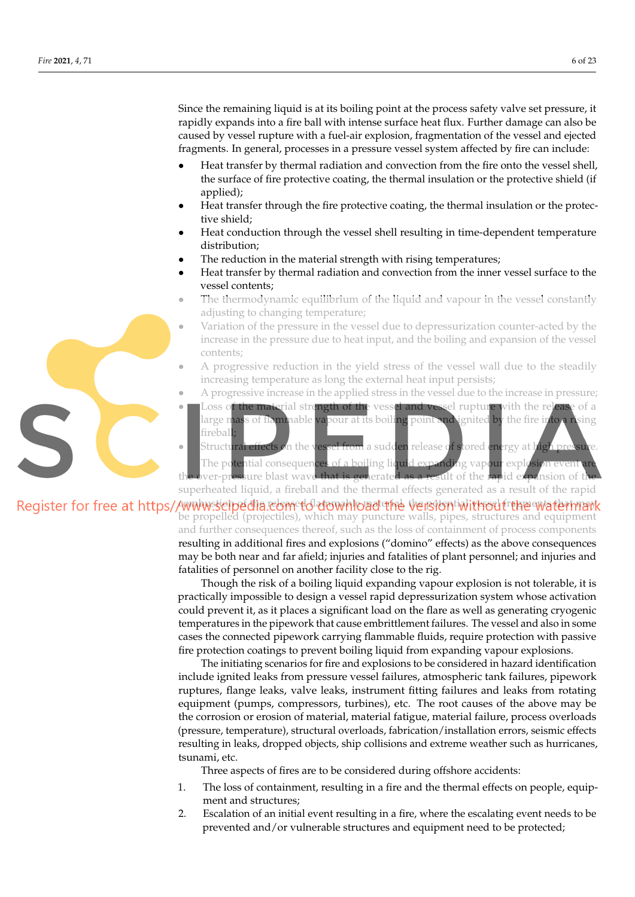Since the remaining liquid is at its boiling point at the process safety valve set pressure, it rapidly expands into a fire ball with intense surface heat flux. Further damage can also be caused by vessel rupture with a fuel-air explosion, fragmentation of the vessel and ejected fragments. In general, processes in a pressure vessel system affected by fire can include:

- Heat transfer by thermal radiation and convection from the fire onto the vessel shell, the surface of fire protective coating, the thermal insulation or the protective shield (if applied);
- Heat transfer through the fire protective coating, the thermal insulation or the protective shield;
- Heat conduction through the vessel shell resulting in time-dependent temperature distribution;
- The reduction in the material strength with rising temperatures;
- Heat transfer by thermal radiation and convection from the inner vessel surface to the vessel contents;
- The thermodynamic equilibrium of the liquid and vapour in the vessel constantly adjusting to changing temperature;
- Variation of the pressure in the vessel due to depressurization counter-acted by the increase in the pressure due to heat input, and the boiling and expansion of the vessel contents;
	- A progressive reduction in the yield stress of the vessel wall due to the steadily increasing temperature as long the external heat input persists;
- A progressive increase in the applied stress in the vessel due to the increase in pressure;
- Loss o<mark>f the mate</mark>rial strength of the vessel and vessel rupture with the release of a large mass of flammable vapour at its boiling point and ignited by the fire into a rising fireball; Structural effects on the vessel from a sudden release of stored energy at high pre

The potential consequences of a boiling liquid expanding vapour explosion event over-pressure blast wave that is generated as a result of the rapid expansion of t superheated liquid, a fireball and the thermal effects generated as a result of the rapid

Register for free at https//www.seipedia.edmeddidowhload the versiontivithou fragewatermark be propelled (projectiles), which may puncture walls, pipes, structures and equipment and further consequences thereof, such as the loss of containment of process components resulting in additional fires and explosions ("domino" effects) as the above consequences may be both near and far afield; injuries and fatalities of plant personnel; and injuries and fatalities of personnel on another facility close to the rig.

> Though the risk of a boiling liquid expanding vapour explosion is not tolerable, it is practically impossible to design a vessel rapid depressurization system whose activation could prevent it, as it places a significant load on the flare as well as generating cryogenic temperatures in the pipework that cause embrittlement failures. The vessel and also in some cases the connected pipework carrying flammable fluids, require protection with passive fire protection coatings to prevent boiling liquid from expanding vapour explosions.

> The initiating scenarios for fire and explosions to be considered in hazard identification include ignited leaks from pressure vessel failures, atmospheric tank failures, pipework ruptures, flange leaks, valve leaks, instrument fitting failures and leaks from rotating equipment (pumps, compressors, turbines), etc. The root causes of the above may be the corrosion or erosion of material, material fatigue, material failure, process overloads (pressure, temperature), structural overloads, fabrication/installation errors, seismic effects resulting in leaks, dropped objects, ship collisions and extreme weather such as hurricanes, tsunami, etc.

Three aspects of fires are to be considered during offshore accidents:

- 1. The loss of containment, resulting in a fire and the thermal effects on people, equipment and structures;
- 2. Escalation of an initial event resulting in a fire, where the escalating event needs to be prevented and/or vulnerable structures and equipment need to be protected;

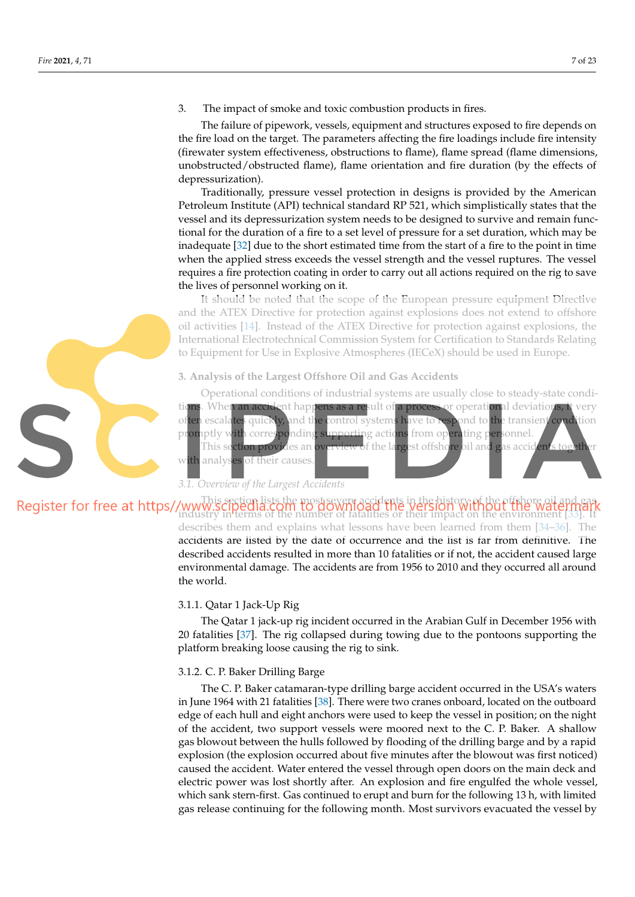3. The impact of smoke and toxic combustion products in fires.

The failure of pipework, vessels, equipment and structures exposed to fire depends on the fire load on the target. The parameters affecting the fire loadings include fire intensity (firewater system effectiveness, obstructions to flame), flame spread (flame dimensions, unobstructed/obstructed flame), flame orientation and fire duration (by the effects of depressurization).

Traditionally, pressure vessel protection in designs is provided by the American Petroleum Institute (API) technical standard RP 521, which simplistically states that the vessel and its depressurization system needs to be designed to survive and remain functional for the duration of a fire to a set level of pressure for a set duration, which may be inadequate [32] due to the short estimated time from the start of a fire to the point in time when the applied stress exceeds the vessel strength and the vessel ruptures. The vessel requires a fire protection coating in order to carry out all actions required on the rig to save the lives of personnel working on it.

It should be noted that the scope of the European pressure equipment Directive and the ATEX Directive for protection against explosions does not extend to offshore oil activities [14]. Instead of the ATEX Directive for protection against explosions, the International Electrotechnical Commission System for Certification to Standards Relating to Equipment for Use in Explosive Atmospheres (IECeX) should be used in Europe.

#### **3. Analysis of the Largest Offshore Oil and Gas Accidents**

Operational conditions of industrial systems are usually close to steady-state conditions. When an accident happens as a result of a process or operational deviations, it very often escalates quickly, and the control systems have to respond to the transient condition promptly with corresponding supporting actions from operating personnel. This sect**ion provid**es an <mark>overview o</mark>f the largest offsho<mark>re oil and g</mark>as accidents togeth with analyses of their causes.

*3.1. Overview of the Largest Accidents*

## This section lists the most severe accidents in the history of the offshore oil and gas industry in terms of the number of fatalities or their impact on the environment [33]. It

describes them and explains what lessons have been learned from them [34–36]. The accidents are listed by the date of occurrence and the list is far from definitive. The described accidents resulted in more than 10 fatalities or if not, the accident caused large environmental damage. The accidents are from 1956 to 2010 and they occurred all around the world.

#### 3.1.1. Qatar 1 Jack-Up Rig

The Qatar 1 jack-up rig incident occurred in the Arabian Gulf in December 1956 with 20 fatalities [37]. The rig collapsed during towing due to the pontoons supporting the platform breaking loose causing the rig to sink.

#### 3.1.2. C. P. Baker Drilling Barge

The C. P. Baker catamaran-type drilling barge accident occurred in the USA's waters in June 1964 with 21 fatalities [38]. There were two cranes onboard, located on the outboard edge of each hull and eight anchors were used to keep the vessel in position; on the night of the accident, two support vessels were moored next to the C. P. Baker. A shallow gas blowout between the hulls followed by flooding of the drilling barge and by a rapid explosion (the explosion occurred about five minutes after the blowout was first noticed) caused the accident. Water entered the vessel through open doors on the main deck and electric power was lost shortly after. An explosion and fire engulfed the whole vessel, which sank stern-first. Gas continued to erupt and burn for the following 13 h, with limited gas release continuing for the following month. Most survivors evacuated the vessel by

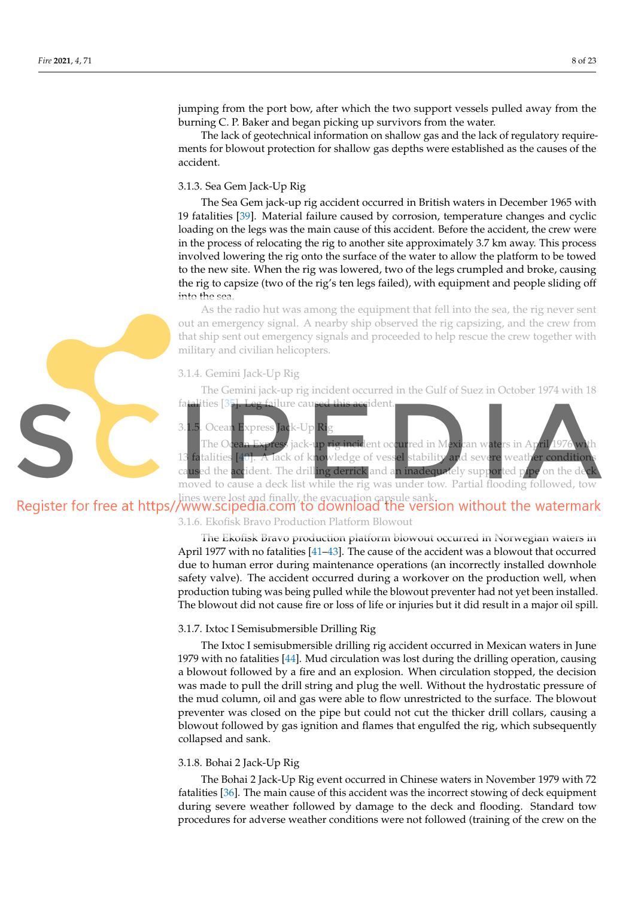jumping from the port bow, after which the two support vessels pulled away from the burning C. P. Baker and began picking up survivors from the water.

The lack of geotechnical information on shallow gas and the lack of regulatory requirements for blowout protection for shallow gas depths were established as the causes of the accident.

## 3.1.3. Sea Gem Jack-Up Rig

The Sea Gem jack-up rig accident occurred in British waters in December 1965 with 19 fatalities [39]. Material failure caused by corrosion, temperature changes and cyclic loading on the legs was the main cause of this accident. Before the accident, the crew were in the process of relocating the rig to another site approximately 3.7 km away. This process involved lowering the rig onto the surface of the water to allow the platform to be towed to the new site. When the rig was lowered, two of the legs crumpled and broke, causing the rig to capsize (two of the rig's ten legs failed), with equipment and people sliding off into the sea.

As the radio hut was among the equipment that fell into the sea, the rig never sent out an emergency signal. A nearby ship observed the rig capsizing, and the crew from that ship sent out emergency signals and proceeded to help rescue the crew together with military and civilian helicopters.

#### 3.1.4. Gemini Jack-Up Rig

The Gemini jack-up rig incident occurred in the Gulf of Suez in October 1974 with 18 fatalities [35]. Leg failure caused this accident

#### 3.1.5. Ocean Express Jack-Up Ri

The O<mark>cean Express</mark> jack-up rig incident occurred in Mexican waters in A<sub>l</sub> 13 fatalities [40]. A lack of knowledge of vessel stability and severe weather condition caused the accident. The drilling derrick and an inadequately supported pipe on the d moved to cause a deck list while the rig was under tow. Partial flooding followed, tow

# lines were lost and finally, the evacuation capsule sank.<br>Register for free at https//www.scipedia.com to download the version without the watermark

3.1.6. Ekofisk Bravo Production Platform Blowout

The Ekofisk Bravo production platform blowout occurred in Norwegian waters in April 1977 with no fatalities [41–43]. The cause of the accident was a blowout that occurred due to human error during maintenance operations (an incorrectly installed downhole safety valve). The accident occurred during a workover on the production well, when production tubing was being pulled while the blowout preventer had not yet been installed. The blowout did not cause fire or loss of life or injuries but it did result in a major oil spill.

#### 3.1.7. Ixtoc I Semisubmersible Drilling Rig

The Ixtoc I semisubmersible drilling rig accident occurred in Mexican waters in June 1979 with no fatalities  $[44]$ . Mud circulation was lost during the drilling operation, causing a blowout followed by a fire and an explosion. When circulation stopped, the decision was made to pull the drill string and plug the well. Without the hydrostatic pressure of the mud column, oil and gas were able to flow unrestricted to the surface. The blowout preventer was closed on the pipe but could not cut the thicker drill collars, causing a blowout followed by gas ignition and flames that engulfed the rig, which subsequently collapsed and sank.

#### 3.1.8. Bohai 2 Jack-Up Rig

The Bohai 2 Jack-Up Rig event occurred in Chinese waters in November 1979 with 72 fatalities [36]. The main cause of this accident was the incorrect stowing of deck equipment during severe weather followed by damage to the deck and flooding. Standard tow procedures for adverse weather conditions were not followed (training of the crew on the

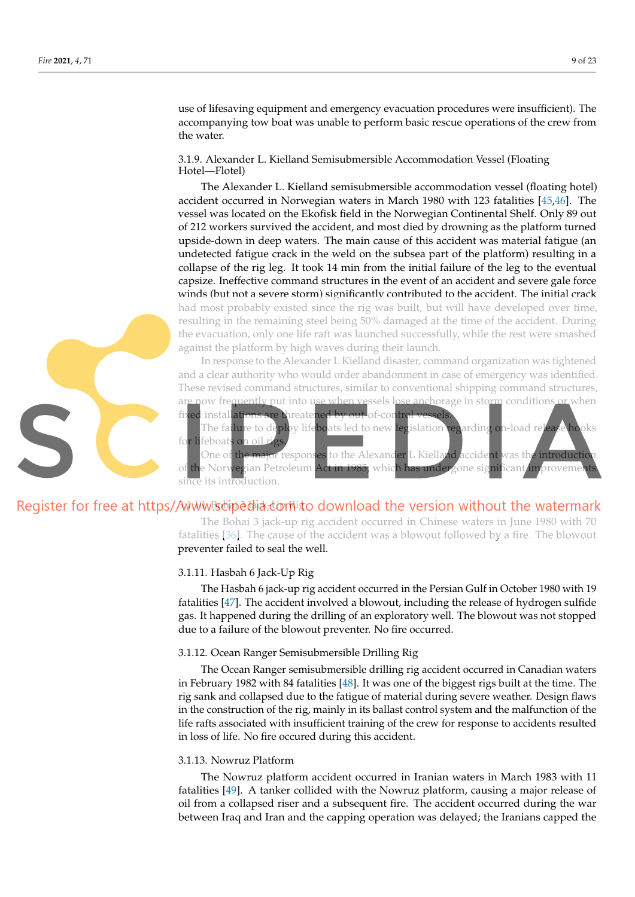use of lifesaving equipment and emergency evacuation procedures were insufficient). The accompanying tow boat was unable to perform basic rescue operations of the crew from the water.

3.1.9. Alexander L. Kielland Semisubmersible Accommodation Vessel (Floating Hotel—Flotel)

The Alexander L. Kielland semisubmersible accommodation vessel (floating hotel) accident occurred in Norwegian waters in March 1980 with 123 fatalities [45,46]. The vessel was located on the Ekofisk field in the Norwegian Continental Shelf. Only 89 out of 212 workers survived the accident, and most died by drowning as the platform turned upside-down in deep waters. The main cause of this accident was material fatigue (an undetected fatigue crack in the weld on the subsea part of the platform) resulting in a collapse of the rig leg. It took 14 min from the initial failure of the leg to the eventual capsize. Ineffective command structures in the event of an accident and severe gale force winds (but not a severe storm) significantly contributed to the accident. The initial crack had most probably existed since the rig was built, but will have developed over time, resulting in the remaining steel being 50% damaged at the time of the accident. During the evacuation, only one life raft was launched successfully, while the rest were smashed against the platform by high waves during their launch.

In response to the Alexander L Kielland disaster, command organization was tightened and a clear authority who would order abandonment in case of emergency was identified. These revised command structures, similar to conventional shipping command structures, are now frequently put into use when vessels lose anchorage in storm conditions or when

fixed installations are threatened by out-of-control vessels. The fa**ilu**re to deploy lifeboats led to new legislation regarding on-load release hooks for lifeboats on oil r

One of the major responses to the Alexander L Kielland accident was the introductio of the Norwegian Petroleum Act in 1985, which has undergone significant improvements since its introduction.

## Register for free at https//WWW.stipedia.comit download the version without the watermark

The Bohai 3 jack-up rig accident occurred in Chinese waters in June 1980 with 70 fatalities [36]. The cause of the accident was a blowout followed by a fire. The blowout preventer failed to seal the well.

#### 3.1.11. Hasbah 6 Jack-Up Rig

The Hasbah 6 jack-up rig accident occurred in the Persian Gulf in October 1980 with 19 fatalities [47]. The accident involved a blowout, including the release of hydrogen sulfide gas. It happened during the drilling of an exploratory well. The blowout was not stopped due to a failure of the blowout preventer. No fire occurred.

#### 3.1.12. Ocean Ranger Semisubmersible Drilling Rig

The Ocean Ranger semisubmersible drilling rig accident occurred in Canadian waters in February 1982 with 84 fatalities  $[48]$ . It was one of the biggest rigs built at the time. The rig sank and collapsed due to the fatigue of material during severe weather. Design flaws in the construction of the rig, mainly in its ballast control system and the malfunction of the life rafts associated with insufficient training of the crew for response to accidents resulted in loss of life. No fire occured during this accident.

#### 3.1.13. Nowruz Platform

The Nowruz platform accident occurred in Iranian waters in March 1983 with 11 fatalities [49]. A tanker collided with the Nowruz platform, causing a major release of oil from a collapsed riser and a subsequent fire. The accident occurred during the war between Iraq and Iran and the capping operation was delayed; the Iranians capped the

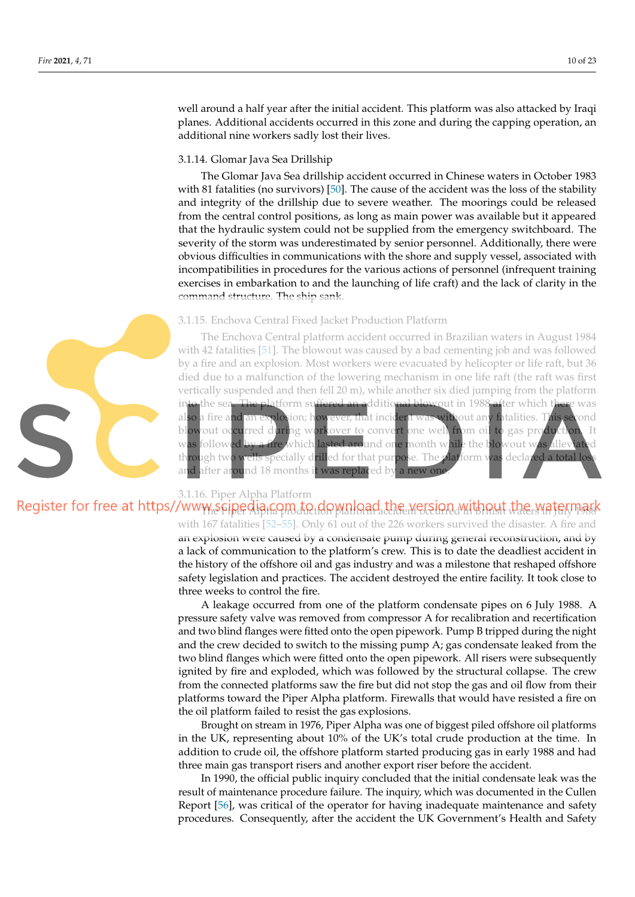well around a half year after the initial accident. This platform was also attacked by Iraqi planes. Additional accidents occurred in this zone and during the capping operation, an additional nine workers sadly lost their lives.

#### 3.1.14. Glomar Java Sea Drillship

The Glomar Java Sea drillship accident occurred in Chinese waters in October 1983 with 81 fatalities (no survivors) [50]. The cause of the accident was the loss of the stability and integrity of the drillship due to severe weather. The moorings could be released from the central control positions, as long as main power was available but it appeared that the hydraulic system could not be supplied from the emergency switchboard. The severity of the storm was underestimated by senior personnel. Additionally, there were obvious difficulties in communications with the shore and supply vessel, associated with incompatibilities in procedures for the various actions of personnel (infrequent training exercises in embarkation to and the launching of life craft) and the lack of clarity in the command structure. The ship sank.

#### 3.1.15. Enchova Central Fixed Jacket Production Platform

The Enchova Central platform accident occurred in Brazilian waters in August 1984 with 42 fatalities [51]. The blowout was caused by a bad cementing job and was followed by a fire and an explosion. Most workers were evacuated by helicopter or life raft, but 36 died due to a malfunction of the lowering mechanism in one life raft (the raft was first vertically suspended and then fell 20 m), while another six died jumping from the platform the sea. The platform suffered an additional blowout in 1988 after which there was also a fire and an explosion; however, that incident was without any fatalities. This second blowout occurred during workover to convert one well from oil to gas production. It was followed by a fire which lasted around one month while the blowout was alleviated through two wells specially drilled for that purpose. The platform was declared a total los and after around 18 months it was replaced by a new one



#### 3.1.16. Piper Alpha Platform

Register for free at https//www.seipedia.com.to.download.the.wersion.without the watermark

with 167 fatalities [52–55]. Only 61 out of the 226 workers survived the disaster. A fire and an explosion were caused by a condensate pump during general reconstruction, and by a lack of communication to the platform's crew. This is to date the deadliest accident in the history of the offshore oil and gas industry and was a milestone that reshaped offshore safety legislation and practices. The accident destroyed the entire facility. It took close to three weeks to control the fire.

A leakage occurred from one of the platform condensate pipes on 6 July 1988. A pressure safety valve was removed from compressor A for recalibration and recertification and two blind flanges were fitted onto the open pipework. Pump B tripped during the night and the crew decided to switch to the missing pump A; gas condensate leaked from the two blind flanges which were fitted onto the open pipework. All risers were subsequently ignited by fire and exploded, which was followed by the structural collapse. The crew from the connected platforms saw the fire but did not stop the gas and oil flow from their platforms toward the Piper Alpha platform. Firewalls that would have resisted a fire on the oil platform failed to resist the gas explosions.

Brought on stream in 1976, Piper Alpha was one of biggest piled offshore oil platforms in the UK, representing about 10% of the UK's total crude production at the time. In addition to crude oil, the offshore platform started producing gas in early 1988 and had three main gas transport risers and another export riser before the accident.

In 1990, the official public inquiry concluded that the initial condensate leak was the result of maintenance procedure failure. The inquiry, which was documented in the Cullen Report [56], was critical of the operator for having inadequate maintenance and safety procedures. Consequently, after the accident the UK Government's Health and Safety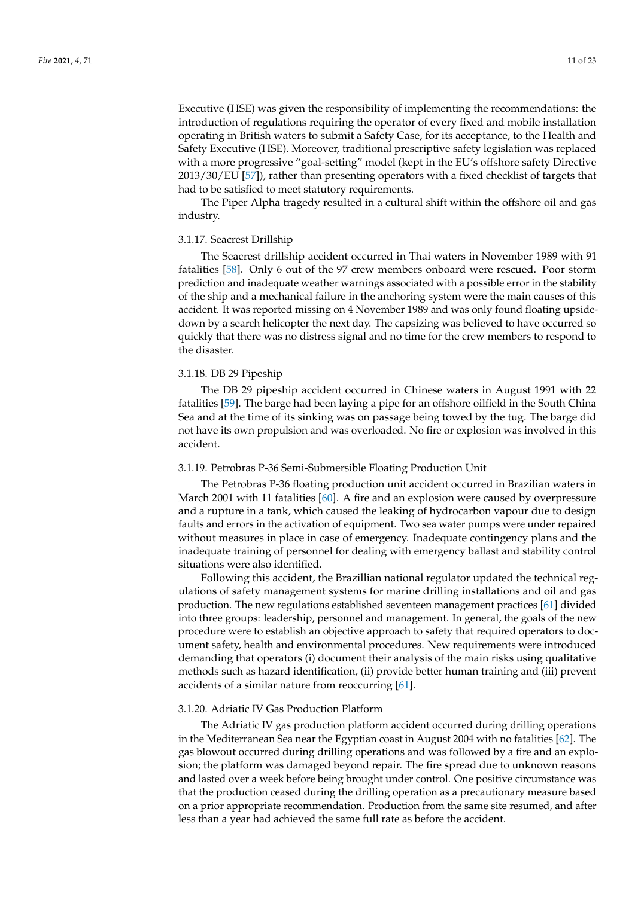Executive (HSE) was given the responsibility of implementing the recommendations: the introduction of regulations requiring the operator of every fixed and mobile installation operating in British waters to submit a Safety Case, for its acceptance, to the Health and Safety Executive (HSE). Moreover, traditional prescriptive safety legislation was replaced with a more progressive "goal-setting" model (kept in the EU's offshore safety Directive 2013/30/EU [57]), rather than presenting operators with a fixed checklist of targets that had to be satisfied to meet statutory requirements.

The Piper Alpha tragedy resulted in a cultural shift within the offshore oil and gas industry.

#### 3.1.17. Seacrest Drillship

The Seacrest drillship accident occurred in Thai waters in November 1989 with 91 fatalities [58]. Only 6 out of the 97 crew members onboard were rescued. Poor storm prediction and inadequate weather warnings associated with a possible error in the stability of the ship and a mechanical failure in the anchoring system were the main causes of this accident. It was reported missing on 4 November 1989 and was only found floating upsidedown by a search helicopter the next day. The capsizing was believed to have occurred so quickly that there was no distress signal and no time for the crew members to respond to the disaster.

## 3.1.18. DB 29 Pipeship

The DB 29 pipeship accident occurred in Chinese waters in August 1991 with 22 fatalities [59]. The barge had been laying a pipe for an offshore oilfield in the South China Sea and at the time of its sinking was on passage being towed by the tug. The barge did not have its own propulsion and was overloaded. No fire or explosion was involved in this accident.

#### 3.1.19. Petrobras P-36 Semi-Submersible Floating Production Unit

The Petrobras P-36 floating production unit accident occurred in Brazilian waters in March 2001 with 11 fatalities [60]. A fire and an explosion were caused by overpressure and a rupture in a tank, which caused the leaking of hydrocarbon vapour due to design faults and errors in the activation of equipment. Two sea water pumps were under repaired without measures in place in case of emergency. Inadequate contingency plans and the inadequate training of personnel for dealing with emergency ballast and stability control situations were also identified.

Following this accident, the Brazillian national regulator updated the technical regulations of safety management systems for marine drilling installations and oil and gas production. The new regulations established seventeen management practices [61] divided into three groups: leadership, personnel and management. In general, the goals of the new procedure were to establish an objective approach to safety that required operators to document safety, health and environmental procedures. New requirements were introduced demanding that operators (i) document their analysis of the main risks using qualitative methods such as hazard identification, (ii) provide better human training and (iii) prevent accidents of a similar nature from reoccurring [61].

#### 3.1.20. Adriatic IV Gas Production Platform

The Adriatic IV gas production platform accident occurred during drilling operations in the Mediterranean Sea near the Egyptian coast in August 2004 with no fatalities [62]. The gas blowout occurred during drilling operations and was followed by a fire and an explosion; the platform was damaged beyond repair. The fire spread due to unknown reasons and lasted over a week before being brought under control. One positive circumstance was that the production ceased during the drilling operation as a precautionary measure based on a prior appropriate recommendation. Production from the same site resumed, and after less than a year had achieved the same full rate as before the accident.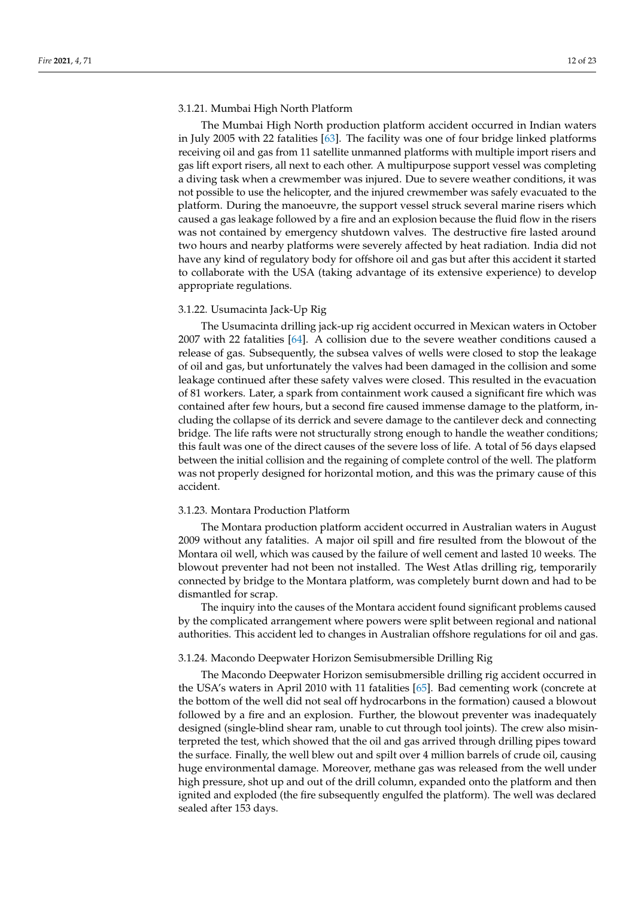### 3.1.21. Mumbai High North Platform

The Mumbai High North production platform accident occurred in Indian waters in July 2005 with 22 fatalities [63]. The facility was one of four bridge linked platforms receiving oil and gas from 11 satellite unmanned platforms with multiple import risers and gas lift export risers, all next to each other. A multipurpose support vessel was completing a diving task when a crewmember was injured. Due to severe weather conditions, it was not possible to use the helicopter, and the injured crewmember was safely evacuated to the platform. During the manoeuvre, the support vessel struck several marine risers which caused a gas leakage followed by a fire and an explosion because the fluid flow in the risers was not contained by emergency shutdown valves. The destructive fire lasted around two hours and nearby platforms were severely affected by heat radiation. India did not have any kind of regulatory body for offshore oil and gas but after this accident it started to collaborate with the USA (taking advantage of its extensive experience) to develop appropriate regulations.

#### 3.1.22. Usumacinta Jack-Up Rig

The Usumacinta drilling jack-up rig accident occurred in Mexican waters in October 2007 with 22 fatalities [64]. A collision due to the severe weather conditions caused a release of gas. Subsequently, the subsea valves of wells were closed to stop the leakage of oil and gas, but unfortunately the valves had been damaged in the collision and some leakage continued after these safety valves were closed. This resulted in the evacuation of 81 workers. Later, a spark from containment work caused a significant fire which was contained after few hours, but a second fire caused immense damage to the platform, including the collapse of its derrick and severe damage to the cantilever deck and connecting bridge. The life rafts were not structurally strong enough to handle the weather conditions; this fault was one of the direct causes of the severe loss of life. A total of 56 days elapsed between the initial collision and the regaining of complete control of the well. The platform was not properly designed for horizontal motion, and this was the primary cause of this accident.

#### 3.1.23. Montara Production Platform

The Montara production platform accident occurred in Australian waters in August 2009 without any fatalities. A major oil spill and fire resulted from the blowout of the Montara oil well, which was caused by the failure of well cement and lasted 10 weeks. The blowout preventer had not been not installed. The West Atlas drilling rig, temporarily connected by bridge to the Montara platform, was completely burnt down and had to be dismantled for scrap.

The inquiry into the causes of the Montara accident found significant problems caused by the complicated arrangement where powers were split between regional and national authorities. This accident led to changes in Australian offshore regulations for oil and gas.

#### 3.1.24. Macondo Deepwater Horizon Semisubmersible Drilling Rig

The Macondo Deepwater Horizon semisubmersible drilling rig accident occurred in the USA's waters in April 2010 with 11 fatalities [65]. Bad cementing work (concrete at the bottom of the well did not seal off hydrocarbons in the formation) caused a blowout followed by a fire and an explosion. Further, the blowout preventer was inadequately designed (single-blind shear ram, unable to cut through tool joints). The crew also misinterpreted the test, which showed that the oil and gas arrived through drilling pipes toward the surface. Finally, the well blew out and spilt over 4 million barrels of crude oil, causing huge environmental damage. Moreover, methane gas was released from the well under high pressure, shot up and out of the drill column, expanded onto the platform and then ignited and exploded (the fire subsequently engulfed the platform). The well was declared sealed after 153 days.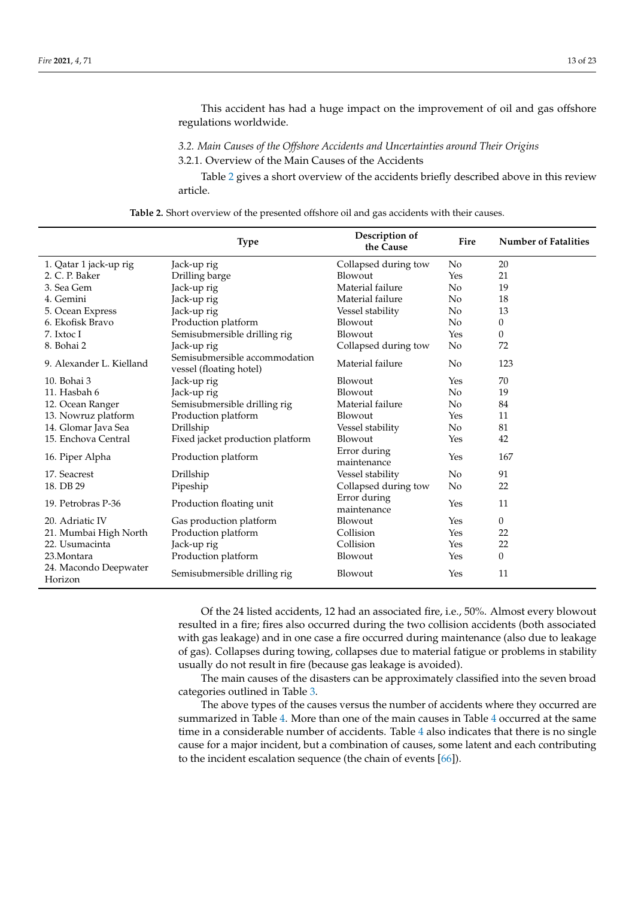This accident has had a huge impact on the improvement of oil and gas offshore regulations worldwide.

*3.2. Main Causes of the Offshore Accidents and Uncertainties around Their Origins* 3.2.1. Overview of the Main Causes of the Accidents

Table 2 gives a short overview of the accidents briefly described above in this review article.

**Table 2.** Short overview of the presented offshore oil and gas accidents with their causes.

|                                  | <b>Type</b>                                              | Description of<br>the Cause | Fire           | <b>Number of Fatalities</b> |
|----------------------------------|----------------------------------------------------------|-----------------------------|----------------|-----------------------------|
| 1. Qatar 1 jack-up rig           | Jack-up rig                                              | Collapsed during tow        | No             | 20                          |
| 2. C. P. Baker                   | Drilling barge                                           | Blowout                     | Yes            | 21                          |
| 3. Sea Gem                       | Jack-up rig                                              | Material failure            | No             | 19                          |
| 4. Gemini                        | Jack-up rig                                              | Material failure            | N <sub>o</sub> | 18                          |
| 5. Ocean Express                 | Jack-up rig                                              | Vessel stability            | No             | 13                          |
| 6. Ekofisk Bravo                 | Production platform                                      | Blowout                     | N <sub>o</sub> | $\theta$                    |
| 7. Ixtoc I                       | Semisubmersible drilling rig                             | Blowout                     | Yes            | $\mathbf{0}$                |
| 8. Bohai 2                       | Jack-up rig                                              | Collapsed during tow        | No             | 72                          |
| 9. Alexander L. Kielland         | Semisubmersible accommodation<br>vessel (floating hotel) | Material failure            | N <sub>o</sub> | 123                         |
| 10. Bohai 3                      | Jack-up rig                                              | Blowout                     | Yes            | 70                          |
| 11. Hasbah 6                     | Jack-up rig                                              | Blowout                     | No             | 19                          |
| 12. Ocean Ranger                 | Semisubmersible drilling rig                             | Material failure            | N <sub>o</sub> | 84                          |
| 13. Nowruz platform              | Production platform                                      | Blowout                     | Yes            | 11                          |
| 14. Glomar Java Sea              | Drillship                                                | Vessel stability            | No             | 81                          |
| 15. Enchova Central              | Fixed jacket production platform                         | Blowout                     | Yes            | 42                          |
| 16. Piper Alpha                  | Production platform                                      | Error during<br>maintenance | Yes            | 167                         |
| 17. Seacrest                     | Drillship                                                | Vessel stability            | N <sub>o</sub> | 91                          |
| 18. DB 29                        | Pipeship                                                 | Collapsed during tow        | No             | 22                          |
| 19. Petrobras P-36               | Production floating unit                                 | Error during<br>maintenance | Yes            | 11                          |
| 20. Adriatic IV                  | Gas production platform                                  | Blowout                     | Yes            | $\overline{0}$              |
| 21. Mumbai High North            | Production platform                                      | Collision                   | Yes            | 22                          |
| 22. Usumacinta                   | Jack-up rig                                              | Collision                   | Yes            | 22                          |
| 23.Montara                       | Production platform                                      | Blowout                     | Yes            | $\theta$                    |
| 24. Macondo Deepwater<br>Horizon | Semisubmersible drilling rig                             | Blowout                     | Yes            | 11                          |

Of the 24 listed accidents, 12 had an associated fire, i.e., 50%. Almost every blowout resulted in a fire; fires also occurred during the two collision accidents (both associated with gas leakage) and in one case a fire occurred during maintenance (also due to leakage of gas). Collapses during towing, collapses due to material fatigue or problems in stability usually do not result in fire (because gas leakage is avoided).

The main causes of the disasters can be approximately classified into the seven broad categories outlined in Table 3.

The above types of the causes versus the number of accidents where they occurred are summarized in Table 4. More than one of the main causes in Table 4 occurred at the same time in a considerable number of accidents. Table 4 also indicates that there is no single cause for a major incident, but a combination of causes, some latent and each contributing to the incident escalation sequence (the chain of events [66]).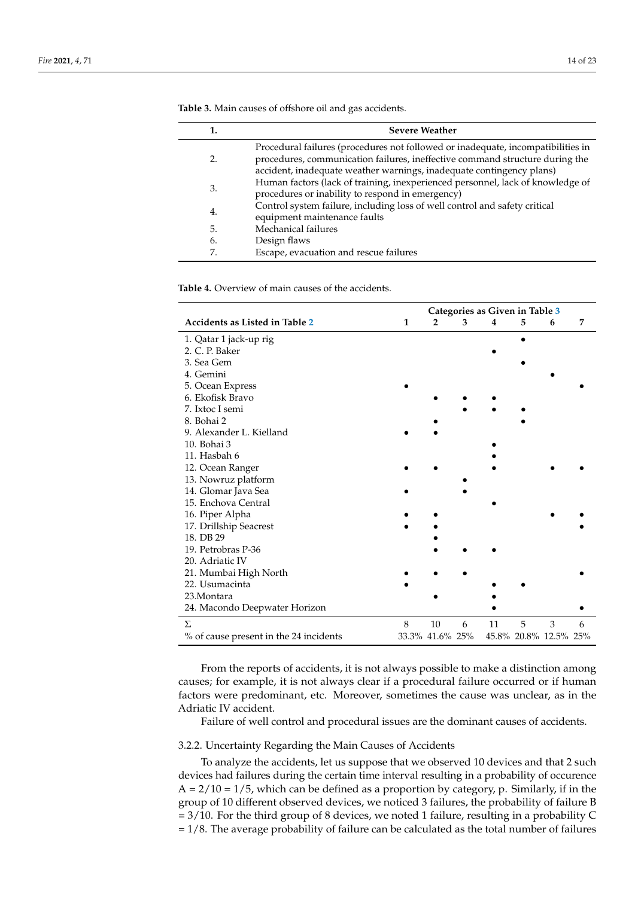|    | <b>Severe Weather</b>                                                                                                                                                                                                                    |
|----|------------------------------------------------------------------------------------------------------------------------------------------------------------------------------------------------------------------------------------------|
|    | Procedural failures (procedures not followed or inadequate, incompatibilities in<br>procedures, communication failures, ineffective command structure during the<br>accident, inadequate weather warnings, inadequate contingency plans) |
| 3. | Human factors (lack of training, inexperienced personnel, lack of knowledge of<br>procedures or inability to respond in emergency)                                                                                                       |
| 4. | Control system failure, including loss of well control and safety critical<br>equipment maintenance faults                                                                                                                               |
| 5. | Mechanical failures                                                                                                                                                                                                                      |
| 6. | Design flaws                                                                                                                                                                                                                             |
| 7. | Escape, evacuation and rescue failures                                                                                                                                                                                                   |

**Table 3.** Main causes of offshore oil and gas accidents.

**Table 4.** Overview of main causes of the accidents.

|                                        | Categories as Given in Table 3 |                 |   |    |   |                       |   |
|----------------------------------------|--------------------------------|-----------------|---|----|---|-----------------------|---|
| Accidents as Listed in Table 2         | 1                              | $\overline{2}$  | 3 | 4  | 5 | 6                     | 7 |
| 1. Qatar 1 jack-up rig                 |                                |                 |   |    |   |                       |   |
| 2. C. P. Baker                         |                                |                 |   |    |   |                       |   |
| 3. Sea Gem                             |                                |                 |   |    |   |                       |   |
| 4. Gemini                              |                                |                 |   |    |   |                       |   |
| 5. Ocean Express                       |                                |                 |   |    |   |                       |   |
| 6. Ekofisk Bravo                       |                                |                 |   |    |   |                       |   |
| 7. Ixtoc I semi                        |                                |                 |   |    |   |                       |   |
| 8. Bohai 2                             |                                |                 |   |    |   |                       |   |
| 9. Alexander L. Kielland               |                                |                 |   |    |   |                       |   |
| 10. Bohai 3                            |                                |                 |   |    |   |                       |   |
| 11. Hasbah 6                           |                                |                 |   |    |   |                       |   |
| 12. Ocean Ranger                       |                                |                 |   |    |   |                       |   |
| 13. Nowruz platform                    |                                |                 |   |    |   |                       |   |
| 14. Glomar Java Sea                    |                                |                 |   |    |   |                       |   |
| 15. Enchova Central                    |                                |                 |   |    |   |                       |   |
| 16. Piper Alpha                        |                                |                 |   |    |   |                       |   |
| 17. Drillship Seacrest                 |                                |                 |   |    |   |                       |   |
| 18. DB 29                              |                                |                 |   |    |   |                       |   |
| 19. Petrobras P-36                     |                                |                 |   |    |   |                       |   |
| 20. Adriatic IV                        |                                |                 |   |    |   |                       |   |
| 21. Mumbai High North                  |                                |                 |   |    |   |                       |   |
| 22. Usumacinta                         |                                |                 |   |    |   |                       |   |
| 23.Montara                             |                                |                 |   |    |   |                       |   |
| 24. Macondo Deepwater Horizon          |                                |                 |   |    |   |                       |   |
| Σ                                      | 8                              | 10              | 6 | 11 | 5 | 3                     | 6 |
| % of cause present in the 24 incidents |                                | 33.3% 41.6% 25% |   |    |   | 45.8% 20.8% 12.5% 25% |   |

From the reports of accidents, it is not always possible to make a distinction among causes; for example, it is not always clear if a procedural failure occurred or if human factors were predominant, etc. Moreover, sometimes the cause was unclear, as in the Adriatic IV accident.

Failure of well control and procedural issues are the dominant causes of accidents.

#### 3.2.2. Uncertainty Regarding the Main Causes of Accidents

To analyze the accidents, let us suppose that we observed 10 devices and that 2 such devices had failures during the certain time interval resulting in a probability of occurence  $A = 2/10 = 1/5$ , which can be defined as a proportion by category, p. Similarly, if in the group of 10 different observed devices, we noticed 3 failures, the probability of failure B  $= 3/10$ . For the third group of 8 devices, we noted 1 failure, resulting in a probability C  $= 1/8$ . The average probability of failure can be calculated as the total number of failures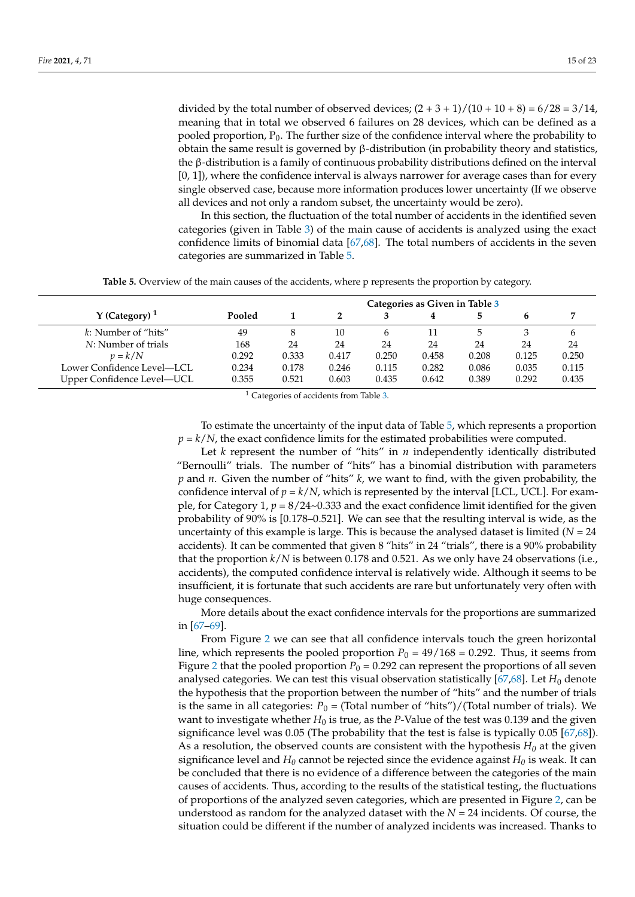divided by the total number of observed devices;  $(2 + 3 + 1)/(10 + 10 + 8) = 6/28 = 3/14$ , meaning that in total we observed 6 failures on 28 devices, which can be defined as a pooled proportion,  $P_0$ . The further size of the confidence interval where the probability to obtain the same result is governed by β-distribution (in probability theory and statistics, the β-distribution is a family of continuous probability distributions defined on the interval  $[0, 1]$ , where the confidence interval is always narrower for average cases than for every single observed case, because more information produces lower uncertainty (If we observe all devices and not only a random subset, the uncertainty would be zero).

In this section, the fluctuation of the total number of accidents in the identified seven categories (given in Table 3) of the main cause of accidents is analyzed using the exact confidence limits of binomial data [67,68]. The total numbers of accidents in the seven categories are summarized in Table 5.

**Table 5.** Overview of the main causes of the accidents, where p represents the proportion by category.

|                            |        | Categories as Given in Table 3 |       |              |       |       |       |       |
|----------------------------|--------|--------------------------------|-------|--------------|-------|-------|-------|-------|
| Y (Category) $1$           | Pooled |                                |       |              |       |       |       |       |
| k: Number of "hits"        | 49     | 8                              | 10    | <sub>t</sub> |       |       |       | 6     |
| N: Number of trials        | 168    | 24                             | 24    | 24           | 24    | 24    | 24    | 24    |
| $p = k/N$                  | 0.292  | 0.333                          | 0.417 | 0.250        | 0.458 | 0.208 | 0.125 | 0.250 |
| Lower Confidence Level-LCL | 0.234  | 0.178                          | 0.246 | 0.115        | 0.282 | 0.086 | 0.035 | 0.115 |
| Upper Confidence Level-UCL | 0.355  | 0.521                          | 0.603 | 0.435        | 0.642 | 0.389 | 0.292 | 0.435 |

<sup>1</sup> Categories of accidents from Table 3.

To estimate the uncertainty of the input data of Table 5, which represents a proportion  $p = k/N$ , the exact confidence limits for the estimated probabilities were computed.

Let  $k$  represent the number of "hits" in  $n$  independently identically distributed "Bernoulli" trials. The number of "hits" has a binomial distribution with parameters *p* and *n*. Given the number of "hits" *k*, we want to find, with the given probability, the confidence interval of  $p = k/N$ , which is represented by the interval [LCL, UCL]. For example, for Category 1,  $p = 8/24$ ~0.333 and the exact confidence limit identified for the given probability of 90% is [0.178–0.521]. We can see that the resulting interval is wide, as the uncertainty of this example is large. This is because the analysed dataset is limited  $(N = 24)$ accidents). It can be commented that given 8 "hits" in 24 "trials", there is a 90% probability that the proportion *k*/*N* is between 0.178 and 0.521. As we only have 24 observations (i.e., accidents), the computed confidence interval is relatively wide. Although it seems to be insufficient, it is fortunate that such accidents are rare but unfortunately very often with huge consequences.

More details about the exact confidence intervals for the proportions are summarized in [67–69].

From Figure 2 we can see that all confidence intervals touch the green horizontal line, which represents the pooled proportion  $P_0 = 49/168 = 0.292$ . Thus, it seems from Figure 2 that the pooled proportion  $P_0 = 0.292$  can represent the proportions of all seven analysed categories. We can test this visual observation statistically  $[67,68]$ . Let  $H_0$  denote the hypothesis that the proportion between the number of "hits" and the number of trials is the same in all categories:  $P_0$  = (Total number of "hits")/(Total number of trials). We want to investigate whether  $H_0$  is true, as the *P*-Value of the test was 0.139 and the given significance level was 0.05 (The probability that the test is false is typically 0.05 [67,68]). As a resolution, the observed counts are consistent with the hypothesis  $H_0$  at the given significance level and  $H_0$  cannot be rejected since the evidence against  $H_0$  is weak. It can be concluded that there is no evidence of a difference between the categories of the main causes of accidents. Thus, according to the results of the statistical testing, the fluctuations of proportions of the analyzed seven categories, which are presented in Figure 2, can be understood as random for the analyzed dataset with the *N* = 24 incidents. Of course, the situation could be different if the number of analyzed incidents was increased. Thanks to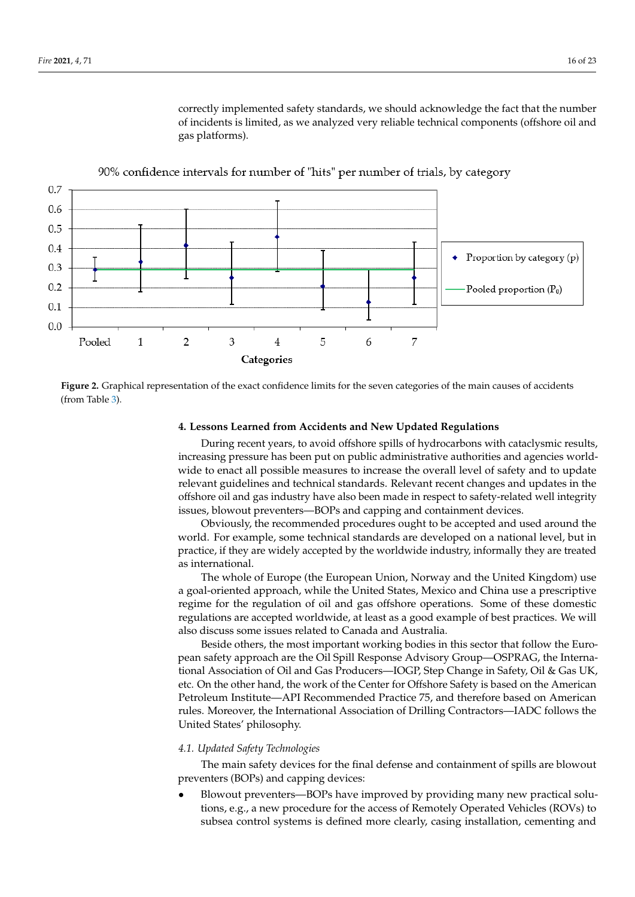

gas platforms).

correctly implemented safety standards, we should acknowledge the fact that the number of incidents is limited, as we analyzed very reliable technical components (offshore oil and





#### **4. Lessons Learned from Accidents and New Updated Regulations**

‐ During recent years, to avoid offshore spills of hydrocarbons with cataclysmic results, ‐ increasing pressure has been put on public administrative authorities and agencies world-‐ relevant guidelines and technical standards. Relevant recent changes and updates in the wide to enact all possible measures to increase the overall level of safety and to update offshore oil and gas industry have also been made in respect to safety-related well integrity issues, blowout preventers—BOPs and capping and containment devices.

Obviously, the recommended procedures ought to be accepted and used around the world. For example, some technical standards are developed on a national level, but in practice, if they are widely accepted by the worldwide industry, informally they are treated as international.

The whole of Europe (the European Union, Norway and the United Kingdom) use ‐ a goal-oriented approach, while the United States, Mexico and China use a prescriptive regime for the regulation of oil and gas offshore operations. Some of these domestic regulations are accepted worldwide, at least as a good example of best practices. We will also discuss some issues related to Canada and Australia.

Beside others, the most important working bodies in this sector that follow the Euro-‐ tional Association of Oil and Gas Producers—IOGP, Step Change in Safety, Oil & Gas UK, ‐ Petroleum Institute—API Recommended Practice 75, and therefore based on American pean safety approach are the Oil Spill Response Advisory Group—OSPRAG, the Internaetc. On the other hand, the work of the Center for Offshore Safety is based on the American rules. Moreover, the International Association of Drilling Contractors—IADC follows the United States' philosophy.

#### *4.1. Updated Safety Technologies*

The main safety devices for the final defense and containment of spills are blowout preventers (BOPs) and capping devices:

 ‐ • Blowout preventers—BOPs have improved by providing many new practical solutions, e.g., a new procedure for the access of Remotely Operated Vehicles (ROVs) to subsea control systems is defined more clearly, casing installation, cementing and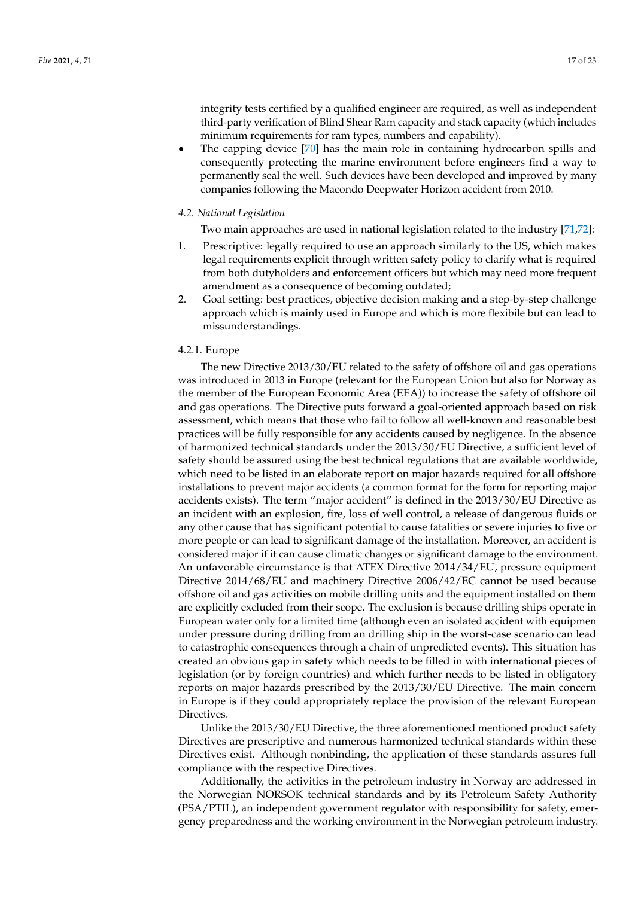integrity tests certified by a qualified engineer are required, as well as independent third-party verification of Blind Shear Ram capacity and stack capacity (which includes minimum requirements for ram types, numbers and capability).

• The capping device [70] has the main role in containing hydrocarbon spills and consequently protecting the marine environment before engineers find a way to permanently seal the well. Such devices have been developed and improved by many companies following the Macondo Deepwater Horizon accident from 2010.

## *4.2. National Legislation*

Two main approaches are used in national legislation related to the industry [71,72]:

- 1. Prescriptive: legally required to use an approach similarly to the US, which makes legal requirements explicit through written safety policy to clarify what is required from both dutyholders and enforcement officers but which may need more frequent amendment as a consequence of becoming outdated;
- 2. Goal setting: best practices, objective decision making and a step-by-step challenge approach which is mainly used in Europe and which is more flexibile but can lead to missunderstandings.

#### 4.2.1. Europe

The new Directive 2013/30/EU related to the safety of offshore oil and gas operations was introduced in 2013 in Europe (relevant for the European Union but also for Norway as the member of the European Economic Area (EEA)) to increase the safety of offshore oil and gas operations. The Directive puts forward a goal-oriented approach based on risk assessment, which means that those who fail to follow all well-known and reasonable best practices will be fully responsible for any accidents caused by negligence. In the absence of harmonized technical standards under the 2013/30/EU Directive, a sufficient level of safety should be assured using the best technical regulations that are available worldwide, which need to be listed in an elaborate report on major hazards required for all offshore installations to prevent major accidents (a common format for the form for reporting major accidents exists). The term "major accident" is defined in the 2013/30/EU Directive as an incident with an explosion, fire, loss of well control, a release of dangerous fluids or any other cause that has significant potential to cause fatalities or severe injuries to five or more people or can lead to significant damage of the installation. Moreover, an accident is considered major if it can cause climatic changes or significant damage to the environment. An unfavorable circumstance is that ATEX Directive 2014/34/EU, pressure equipment Directive 2014/68/EU and machinery Directive 2006/42/EC cannot be used because offshore oil and gas activities on mobile drilling units and the equipment installed on them are explicitly excluded from their scope. The exclusion is because drilling ships operate in European water only for a limited time (although even an isolated accident with equipmen under pressure during drilling from an drilling ship in the worst-case scenario can lead to catastrophic consequences through a chain of unpredicted events). This situation has created an obvious gap in safety which needs to be filled in with international pieces of legislation (or by foreign countries) and which further needs to be listed in obligatory reports on major hazards prescribed by the 2013/30/EU Directive. The main concern in Europe is if they could appropriately replace the provision of the relevant European Directives.

Unlike the 2013/30/EU Directive, the three aforementioned mentioned product safety Directives are prescriptive and numerous harmonized technical standards within these Directives exist. Although nonbinding, the application of these standards assures full compliance with the respective Directives.

Additionally, the activities in the petroleum industry in Norway are addressed in the Norwegian NORSOK technical standards and by its Petroleum Safety Authority (PSA/PTIL), an independent government regulator with responsibility for safety, emergency preparedness and the working environment in the Norwegian petroleum industry.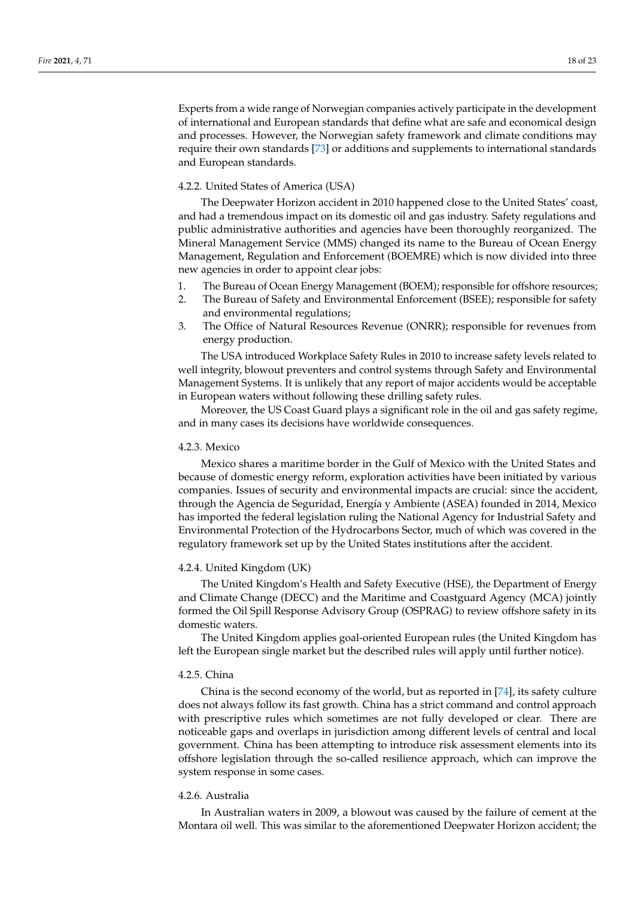Experts from a wide range of Norwegian companies actively participate in the development of international and European standards that define what are safe and economical design and processes. However, the Norwegian safety framework and climate conditions may require their own standards [73] or additions and supplements to international standards and European standards.

#### 4.2.2. United States of America (USA)

The Deepwater Horizon accident in 2010 happened close to the United States' coast, and had a tremendous impact on its domestic oil and gas industry. Safety regulations and public administrative authorities and agencies have been thoroughly reorganized. The Mineral Management Service (MMS) changed its name to the Bureau of Ocean Energy Management, Regulation and Enforcement (BOEMRE) which is now divided into three new agencies in order to appoint clear jobs:

- 1. The Bureau of Ocean Energy Management (BOEM); responsible for offshore resources;
- 2. The Bureau of Safety and Environmental Enforcement (BSEE); responsible for safety and environmental regulations;
- 3. The Office of Natural Resources Revenue (ONRR); responsible for revenues from energy production.

The USA introduced Workplace Safety Rules in 2010 to increase safety levels related to well integrity, blowout preventers and control systems through Safety and Environmental Management Systems. It is unlikely that any report of major accidents would be acceptable in European waters without following these drilling safety rules.

Moreover, the US Coast Guard plays a significant role in the oil and gas safety regime, and in many cases its decisions have worldwide consequences.

#### 4.2.3. Mexico

Mexico shares a maritime border in the Gulf of Mexico with the United States and because of domestic energy reform, exploration activities have been initiated by various companies. Issues of security and environmental impacts are crucial: since the accident, through the Agencia de Seguridad, Energía y Ambiente (ASEA) founded in 2014, Mexico has imported the federal legislation ruling the National Agency for Industrial Safety and Environmental Protection of the Hydrocarbons Sector, much of which was covered in the regulatory framework set up by the United States institutions after the accident.

#### 4.2.4. United Kingdom (UK)

The United Kingdom's Health and Safety Executive (HSE), the Department of Energy and Climate Change (DECC) and the Maritime and Coastguard Agency (MCA) jointly formed the Oil Spill Response Advisory Group (OSPRAG) to review offshore safety in its domestic waters.

The United Kingdom applies goal-oriented European rules (the United Kingdom has left the European single market but the described rules will apply until further notice).

#### 4.2.5. China

China is the second economy of the world, but as reported in [74], its safety culture does not always follow its fast growth. China has a strict command and control approach with prescriptive rules which sometimes are not fully developed or clear. There are noticeable gaps and overlaps in jurisdiction among different levels of central and local government. China has been attempting to introduce risk assessment elements into its offshore legislation through the so-called resilience approach, which can improve the system response in some cases.

#### 4.2.6. Australia

In Australian waters in 2009, a blowout was caused by the failure of cement at the Montara oil well. This was similar to the aforementioned Deepwater Horizon accident; the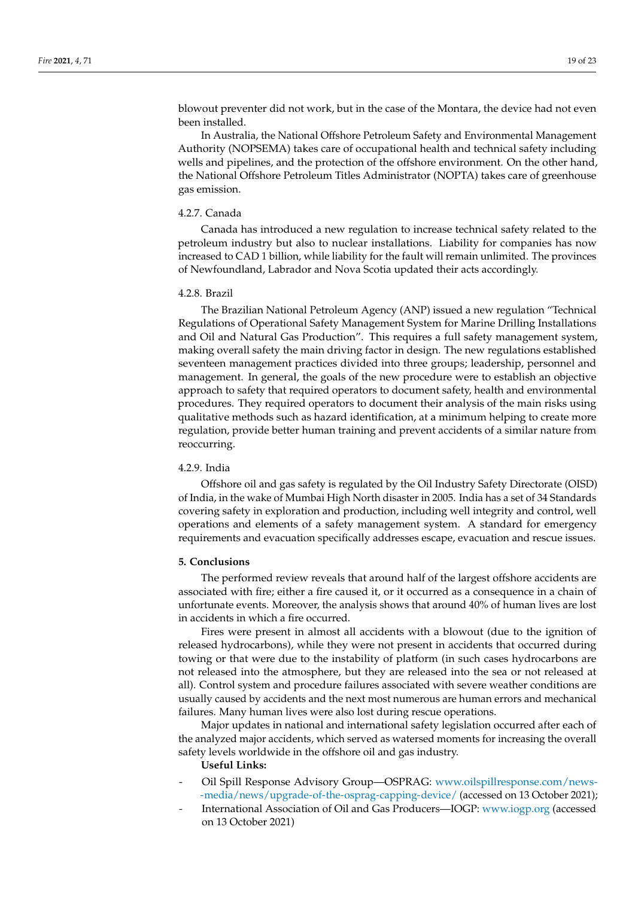blowout preventer did not work, but in the case of the Montara, the device had not even been installed.

In Australia, the National Offshore Petroleum Safety and Environmental Management Authority (NOPSEMA) takes care of occupational health and technical safety including wells and pipelines, and the protection of the offshore environment. On the other hand, the National Offshore Petroleum Titles Administrator (NOPTA) takes care of greenhouse gas emission.

#### 4.2.7. Canada

Canada has introduced a new regulation to increase technical safety related to the petroleum industry but also to nuclear installations. Liability for companies has now increased to CAD 1 billion, while liability for the fault will remain unlimited. The provinces of Newfoundland, Labrador and Nova Scotia updated their acts accordingly.

#### 4.2.8. Brazil

The Brazilian National Petroleum Agency (ANP) issued a new regulation "Technical Regulations of Operational Safety Management System for Marine Drilling Installations and Oil and Natural Gas Production". This requires a full safety management system, making overall safety the main driving factor in design. The new regulations established seventeen management practices divided into three groups; leadership, personnel and management. In general, the goals of the new procedure were to establish an objective approach to safety that required operators to document safety, health and environmental procedures. They required operators to document their analysis of the main risks using qualitative methods such as hazard identification, at a minimum helping to create more regulation, provide better human training and prevent accidents of a similar nature from reoccurring.

#### 4.2.9. India

Offshore oil and gas safety is regulated by the Oil Industry Safety Directorate (OISD) of India, in the wake of Mumbai High North disaster in 2005. India has a set of 34 Standards covering safety in exploration and production, including well integrity and control, well operations and elements of a safety management system. A standard for emergency requirements and evacuation specifically addresses escape, evacuation and rescue issues.

#### **5. Conclusions**

The performed review reveals that around half of the largest offshore accidents are associated with fire; either a fire caused it, or it occurred as a consequence in a chain of unfortunate events. Moreover, the analysis shows that around 40% of human lives are lost in accidents in which a fire occurred.

Fires were present in almost all accidents with a blowout (due to the ignition of released hydrocarbons), while they were not present in accidents that occurred during towing or that were due to the instability of platform (in such cases hydrocarbons are not released into the atmosphere, but they are released into the sea or not released at all). Control system and procedure failures associated with severe weather conditions are usually caused by accidents and the next most numerous are human errors and mechanical failures. Many human lives were also lost during rescue operations.

Major updates in national and international safety legislation occurred after each of the analyzed major accidents, which served as watersed moments for increasing the overall safety levels worldwide in the offshore oil and gas industry.

## **Useful Links:**

- Oil Spill Response Advisory Group—OSPRAG: www.oilspillresponse.com/news- -media/news/upgrade-of-the-osprag-capping-device/ (accessed on 13 October 2021);
- International Association of Oil and Gas Producers-IOGP: www.iogp.org (accessed on 13 October 2021)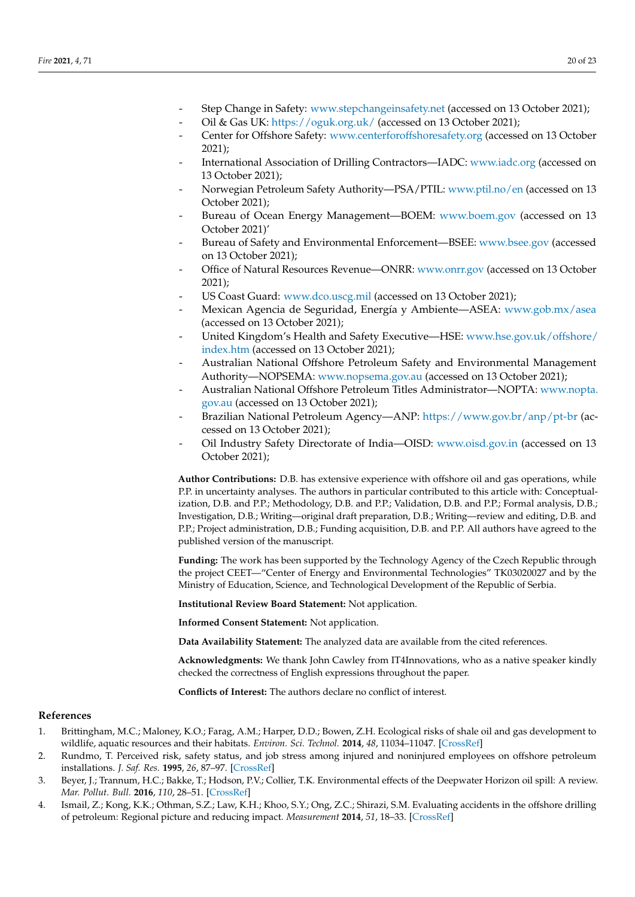- Step Change in Safety: www.stepchangeinsafety.net (accessed on 13 October 2021);
- Oil & Gas UK: https://oguk.org.uk/ (accessed on 13 October 2021);
- Center for Offshore Safety: www.centerforoffshoresafety.org (accessed on 13 October 2021);
- International Association of Drilling Contractors—IADC: www.iadc.org (accessed on 13 October 2021);
- Norwegian Petroleum Safety Authority-PSA/PTIL: www.ptil.no/en (accessed on 13 October 2021);
- Bureau of Ocean Energy Management—BOEM: www.boem.gov (accessed on 13 October 2021)'
- Bureau of Safety and Environmental Enforcement—BSEE: www.bsee.gov (accessed on 13 October 2021);
- Office of Natural Resources Revenue—ONRR: www.onrr.gov (accessed on 13 October 2021);
- US Coast Guard: www.dco.uscg.mil (accessed on 13 October 2021);
- Mexican Agencia de Seguridad, Energía y Ambiente—ASEA: www.gob.mx/asea (accessed on 13 October 2021);
- United Kingdom's Health and Safety Executive—HSE: www.hse.gov.uk/offshore/ index.htm (accessed on 13 October 2021);
- Australian National Offshore Petroleum Safety and Environmental Management Authority—NOPSEMA: www.nopsema.gov.au (accessed on 13 October 2021);
- Australian National Offshore Petroleum Titles Administrator—NOPTA: www.nopta. gov.au (accessed on 13 October 2021);
- Brazilian National Petroleum Agency—ANP: https://www.gov.br/anp/pt-br (accessed on 13 October 2021);
- Oil Industry Safety Directorate of India—OISD: www.oisd.gov.in (accessed on 13 October 2021);

**Author Contributions:** D.B. has extensive experience with offshore oil and gas operations, while P.P. in uncertainty analyses. The authors in particular contributed to this article with: Conceptualization, D.B. and P.P.; Methodology, D.B. and P.P.; Validation, D.B. and P.P.; Formal analysis, D.B.; Investigation, D.B.; Writing—original draft preparation, D.B.; Writing—review and editing, D.B. and P.P.; Project administration, D.B.; Funding acquisition, D.B. and P.P. All authors have agreed to the published version of the manuscript.

**Funding:** The work has been supported by the Technology Agency of the Czech Republic through the project CEET—"Center of Energy and Environmental Technologies" TK03020027 and by the Ministry of Education, Science, and Technological Development of the Republic of Serbia.

**Institutional Review Board Statement:** Not application.

**Informed Consent Statement:** Not application.

**Data Availability Statement:** The analyzed data are available from the cited references.

**Acknowledgments:** We thank John Cawley from IT4Innovations, who as a native speaker kindly checked the correctness of English expressions throughout the paper.

**Conflicts of Interest:** The authors declare no conflict of interest.

#### **References**

- 1. Brittingham, M.C.; Maloney, K.O.; Farag, A.M.; Harper, D.D.; Bowen, Z.H. Ecological risks of shale oil and gas development to wildlife, aquatic resources and their habitats. *Environ. Sci. Technol.* **2014**, *48*, 11034–11047. [CrossRef]
- 2. Rundmo, T. Perceived risk, safety status, and job stress among injured and noninjured employees on offshore petroleum installations. *J. Saf. Res.* **1995**, *26*, 87–97. [CrossRef]
- 3. Beyer, J.; Trannum, H.C.; Bakke, T.; Hodson, P.V.; Collier, T.K. Environmental effects of the Deepwater Horizon oil spill: A review. *Mar. Pollut. Bull.* **2016**, *110*, 28–51. [CrossRef]
- 4. Ismail, Z.; Kong, K.K.; Othman, S.Z.; Law, K.H.; Khoo, S.Y.; Ong, Z.C.; Shirazi, S.M. Evaluating accidents in the offshore drilling of petroleum: Regional picture and reducing impact. *Measurement* **2014**, *51*, 18–33. [CrossRef]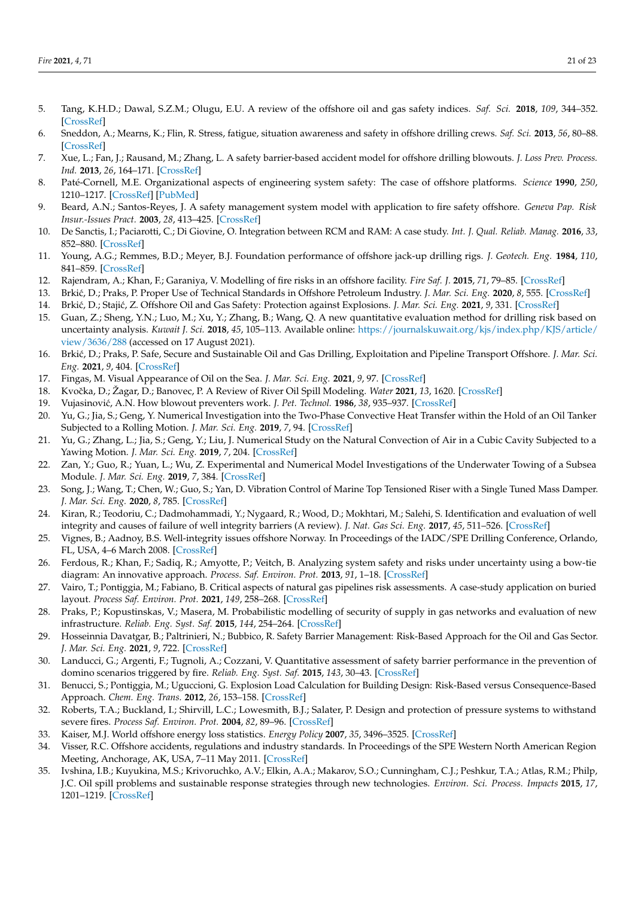- 5. Tang, K.H.D.; Dawal, S.Z.M.; Olugu, E.U. A review of the offshore oil and gas safety indices. *Saf. Sci.* **2018**, *109*, 344–352. [CrossRef]
- 6. Sneddon, A.; Mearns, K.; Flin, R. Stress, fatigue, situation awareness and safety in offshore drilling crews. *Saf. Sci.* **2013**, *56*, 80–88. [CrossRef]
- 7. Xue, L.; Fan, J.; Rausand, M.; Zhang, L. A safety barrier-based accident model for offshore drilling blowouts. *J. Loss Prev. Process. Ind.* **2013**, *26*, 164–171. [CrossRef]
- 8. Paté-Cornell, M.E. Organizational aspects of engineering system safety: The case of offshore platforms. *Science* **1990**, *250*, 1210–1217. [CrossRef] [PubMed]
- 9. Beard, A.N.; Santos-Reyes, J. A safety management system model with application to fire safety offshore. *Geneva Pap. Risk Insur.-Issues Pract.* **2003**, *28*, 413–425. [CrossRef]
- 10. De Sanctis, I.; Paciarotti, C.; Di Giovine, O. Integration between RCM and RAM: A case study. *Int. J. Qual. Reliab. Manag.* **2016**, *33*, 852–880. [CrossRef]
- 11. Young, A.G.; Remmes, B.D.; Meyer, B.J. Foundation performance of offshore jack-up drilling rigs. *J. Geotech. Eng.* **1984**, *110*, 841–859. [CrossRef]
- 12. Rajendram, A.; Khan, F.; Garaniya, V. Modelling of fire risks in an offshore facility. *Fire Saf. J.* **2015**, *71*, 79–85. [CrossRef]
- 13. Brki´c, D.; Praks, P. Proper Use of Technical Standards in Offshore Petroleum Industry. *J. Mar. Sci. Eng.* **2020**, *8*, 555. [CrossRef]
- 14. Brki´c, D.; Staji´c, Z. Offshore Oil and Gas Safety: Protection against Explosions. *J. Mar. Sci. Eng.* **2021**, *9*, 331. [CrossRef]
- 15. Guan, Z.; Sheng, Y.N.; Luo, M.; Xu, Y.; Zhang, B.; Wang, Q. A new quantitative evaluation method for drilling risk based on uncertainty analysis. *Kuwait J. Sci.* **2018**, *45*, 105–113. Available online: https://journalskuwait.org/kjs/index.php/KJS/article/ view/3636/288 (accessed on 17 August 2021).
- 16. Brki´c, D.; Praks, P. Safe, Secure and Sustainable Oil and Gas Drilling, Exploitation and Pipeline Transport Offshore. *J. Mar. Sci. Eng.* **2021**, *9*, 404. [CrossRef]
- 17. Fingas, M. Visual Appearance of Oil on the Sea. *J. Mar. Sci. Eng.* **2021**, *9*, 97. [CrossRef]
- 18. Kvoˇcka, D.; Žagar, D.; Banovec, P. A Review of River Oil Spill Modeling. *Water* **2021**, *13*, 1620. [CrossRef]
- 19. Vujasinovi´c, A.N. How blowout preventers work. *J. Pet. Technol.* **1986**, *38*, 935–937. [CrossRef]
- 20. Yu, G.; Jia, S.; Geng, Y. Numerical Investigation into the Two-Phase Convective Heat Transfer within the Hold of an Oil Tanker Subjected to a Rolling Motion. *J. Mar. Sci. Eng.* **2019**, *7*, 94. [CrossRef]
- 21. Yu, G.; Zhang, L.; Jia, S.; Geng, Y.; Liu, J. Numerical Study on the Natural Convection of Air in a Cubic Cavity Subjected to a Yawing Motion. *J. Mar. Sci. Eng.* **2019**, *7*, 204. [CrossRef]
- 22. Zan, Y.; Guo, R.; Yuan, L.; Wu, Z. Experimental and Numerical Model Investigations of the Underwater Towing of a Subsea Module. *J. Mar. Sci. Eng.* **2019**, *7*, 384. [CrossRef]
- 23. Song, J.; Wang, T.; Chen, W.; Guo, S.; Yan, D. Vibration Control of Marine Top Tensioned Riser with a Single Tuned Mass Damper. *J. Mar. Sci. Eng.* **2020**, *8*, 785. [CrossRef]
- 24. Kiran, R.; Teodoriu, C.; Dadmohammadi, Y.; Nygaard, R.; Wood, D.; Mokhtari, M.; Salehi, S. Identification and evaluation of well integrity and causes of failure of well integrity barriers (A review). *J. Nat. Gas Sci. Eng.* **2017**, *45*, 511–526. [CrossRef]
- 25. Vignes, B.; Aadnoy, B.S. Well-integrity issues offshore Norway. In Proceedings of the IADC/SPE Drilling Conference, Orlando, FL, USA, 4–6 March 2008. [CrossRef]
- 26. Ferdous, R.; Khan, F.; Sadiq, R.; Amyotte, P.; Veitch, B. Analyzing system safety and risks under uncertainty using a bow-tie diagram: An innovative approach. *Process. Saf. Environ. Prot.* **2013**, *91*, 1–18. [CrossRef]
- 27. Vairo, T.; Pontiggia, M.; Fabiano, B. Critical aspects of natural gas pipelines risk assessments. A case-study application on buried layout. *Process Saf. Environ. Prot.* **2021**, *149*, 258–268. [CrossRef]
- 28. Praks, P.; Kopustinskas, V.; Masera, M. Probabilistic modelling of security of supply in gas networks and evaluation of new infrastructure. *Reliab. Eng. Syst. Saf.* **2015**, *144*, 254–264. [CrossRef]
- 29. Hosseinnia Davatgar, B.; Paltrinieri, N.; Bubbico, R. Safety Barrier Management: Risk-Based Approach for the Oil and Gas Sector. *J. Mar. Sci. Eng.* **2021**, *9*, 722. [CrossRef]
- 30. Landucci, G.; Argenti, F.; Tugnoli, A.; Cozzani, V. Quantitative assessment of safety barrier performance in the prevention of domino scenarios triggered by fire. *Reliab. Eng. Syst. Saf.* **2015**, *143*, 30–43. [CrossRef]
- 31. Benucci, S.; Pontiggia, M.; Uguccioni, G. Explosion Load Calculation for Building Design: Risk-Based versus Consequence-Based Approach. *Chem. Eng. Trans.* **2012**, *26*, 153–158. [CrossRef]
- 32. Roberts, T.A.; Buckland, I.; Shirvill, L.C.; Lowesmith, B.J.; Salater, P. Design and protection of pressure systems to withstand severe fires. *Process Saf. Environ. Prot.* **2004**, *82*, 89–96. [CrossRef]
- 33. Kaiser, M.J. World offshore energy loss statistics. *Energy Policy* **2007**, *35*, 3496–3525. [CrossRef]
- 34. Visser, R.C. Offshore accidents, regulations and industry standards. In Proceedings of the SPE Western North American Region Meeting, Anchorage, AK, USA, 7–11 May 2011. [CrossRef]
- 35. Ivshina, I.B.; Kuyukina, M.S.; Krivoruchko, A.V.; Elkin, A.A.; Makarov, S.O.; Cunningham, C.J.; Peshkur, T.A.; Atlas, R.M.; Philp, J.C. Oil spill problems and sustainable response strategies through new technologies. *Environ. Sci. Process. Impacts* **2015**, *17*, 1201–1219. [CrossRef]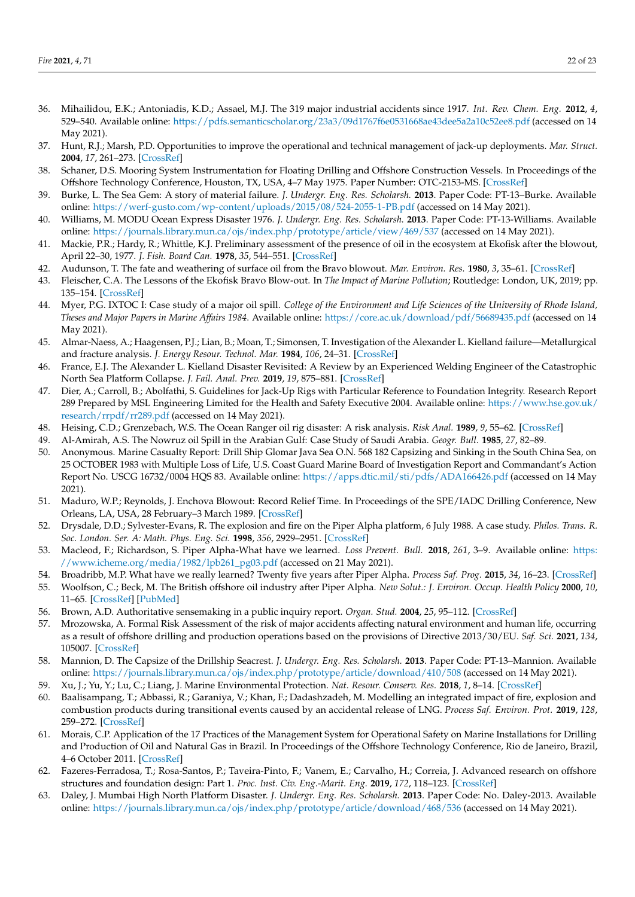- 36. Mihailidou, E.K.; Antoniadis, K.D.; Assael, M.J. The 319 major industrial accidents since 1917. *Int. Rev. Chem. Eng.* **2012**, *4*, 529–540. Available online: https://pdfs.semanticscholar.org/23a3/09d1767f6e0531668ae43dee5a2a10c52ee8.pdf (accessed on 14 May 2021).
- 37. Hunt, R.J.; Marsh, P.D. Opportunities to improve the operational and technical management of jack-up deployments. *Mar. Struct.* **2004**, *17*, 261–273. [CrossRef]
- 38. Schaner, D.S. Mooring System Instrumentation for Floating Drilling and Offshore Construction Vessels. In Proceedings of the Offshore Technology Conference, Houston, TX, USA, 4–7 May 1975. Paper Number: OTC-2153-MS. [CrossRef]
- 39. Burke, L. The Sea Gem: A story of material failure. *J. Undergr. Eng. Res. Scholarsh.* **2013**. Paper Code: PT-13–Burke. Available online: https://werf-gusto.com/wp-content/uploads/2015/08/524-2055-1-PB.pdf (accessed on 14 May 2021).
- 40. Williams, M. MODU Ocean Express Disaster 1976. *J. Undergr. Eng. Res. Scholarsh.* **2013**. Paper Code: PT-13-Williams. Available online: https://journals.library.mun.ca/ojs/index.php/prototype/article/view/469/537 (accessed on 14 May 2021).
- 41. Mackie, P.R.; Hardy, R.; Whittle, K.J. Preliminary assessment of the presence of oil in the ecosystem at Ekofisk after the blowout, April 22–30, 1977. *J. Fish. Board Can.* **1978**, *35*, 544–551. [CrossRef]
- 42. Audunson, T. The fate and weathering of surface oil from the Bravo blowout. *Mar. Environ. Res.* **1980**, *3*, 35–61. [CrossRef]
- 43. Fleischer, C.A. The Lessons of the Ekofisk Bravo Blow-out. In *The Impact of Marine Pollution*; Routledge: London, UK, 2019; pp. 135–154. [CrossRef]
- 44. Myer, P.G. IXTOC I: Case study of a major oil spill. *College of the Environment and Life Sciences of the University of Rhode Island, Theses and Major Papers in Marine Affairs 1984*. Available online: https://core.ac.uk/download/pdf/56689435.pdf (accessed on 14 May 2021).
- 45. Almar-Naess, A.; Haagensen, P.J.; Lian, B.; Moan, T.; Simonsen, T. Investigation of the Alexander L. Kielland failure—Metallurgical and fracture analysis. *J. Energy Resour. Technol. Mar.* **1984**, *106*, 24–31. [CrossRef]
- 46. France, E.J. The Alexander L. Kielland Disaster Revisited: A Review by an Experienced Welding Engineer of the Catastrophic North Sea Platform Collapse. *J. Fail. Anal. Prev.* **2019**, *19*, 875–881. [CrossRef]
- 47. Dier, A.; Carroll, B.; Abolfathi, S. Guidelines for Jack-Up Rigs with Particular Reference to Foundation Integrity. Research Report 289 Prepared by MSL Engineering Limited for the Health and Safety Executive 2004. Available online: https://www.hse.gov.uk/ research/rrpdf/rr289.pdf (accessed on 14 May 2021).
- 48. Heising, C.D.; Grenzebach, W.S. The Ocean Ranger oil rig disaster: A risk analysis. *Risk Anal.* **1989**, *9*, 55–62. [CrossRef]
- 49. Al-Amirah, A.S. The Nowruz oil Spill in the Arabian Gulf: Case Study of Saudi Arabia. *Geogr. Bull.* **1985**, *27*, 82–89.
- 50. Anonymous. Marine Casualty Report: Drill Ship Glomar Java Sea O.N. 568 182 Capsizing and Sinking in the South China Sea, on 25 OCTOBER 1983 with Multiple Loss of Life, U.S. Coast Guard Marine Board of Investigation Report and Commandant's Action Report No. USCG 16732/0004 HQS 83. Available online: https://apps.dtic.mil/sti/pdfs/ADA166426.pdf (accessed on 14 May 2021).
- 51. Maduro, W.P.; Reynolds, J. Enchova Blowout: Record Relief Time. In Proceedings of the SPE/IADC Drilling Conference, New Orleans, LA, USA, 28 February–3 March 1989. [CrossRef]
- 52. Drysdale, D.D.; Sylvester-Evans, R. The explosion and fire on the Piper Alpha platform, 6 July 1988. A case study. *Philos. Trans. R. Soc. London. Ser. A: Math. Phys. Eng. Sci.* **1998**, *356*, 2929–2951. [CrossRef]
- 53. Macleod, F.; Richardson, S. Piper Alpha-What have we learned. *Loss Prevent. Bull.* **2018**, *261*, 3–9. Available online: https: //www.icheme.org/media/1982/lpb261\_pg03.pdf (accessed on 21 May 2021).
- 54. Broadribb, M.P. What have we really learned? Twenty five years after Piper Alpha. *Process Saf. Prog.* **2015**, *34*, 16–23. [CrossRef]
- 55. Woolfson, C.; Beck, M. The British offshore oil industry after Piper Alpha. *New Solut.: J. Environ. Occup. Health Policy* **2000**, *10*, 11–65. [CrossRef] [PubMed]
- 56. Brown, A.D. Authoritative sensemaking in a public inquiry report. *Organ. Stud.* **2004**, *25*, 95–112. [CrossRef]
- 57. Mrozowska, A. Formal Risk Assessment of the risk of major accidents affecting natural environment and human life, occurring as a result of offshore drilling and production operations based on the provisions of Directive 2013/30/EU. *Saf. Sci.* **2021**, *134*, 105007. [CrossRef]
- 58. Mannion, D. The Capsize of the Drillship Seacrest. *J. Undergr. Eng. Res. Scholarsh.* **2013**. Paper Code: PT-13–Mannion. Available online: https://journals.library.mun.ca/ojs/index.php/prototype/article/download/410/508 (accessed on 14 May 2021).
- 59. Xu, J.; Yu, Y.; Lu, C.; Liang, J. Marine Environmental Protection. *Nat. Resour. Conserv. Res.* **2018**, *1*, 8–14. [CrossRef]
- 60. Baalisampang, T.; Abbassi, R.; Garaniya, V.; Khan, F.; Dadashzadeh, M. Modelling an integrated impact of fire, explosion and combustion products during transitional events caused by an accidental release of LNG. *Process Saf. Environ. Prot.* **2019**, *128*, 259–272. [CrossRef]
- 61. Morais, C.P. Application of the 17 Practices of the Management System for Operational Safety on Marine Installations for Drilling and Production of Oil and Natural Gas in Brazil. In Proceedings of the Offshore Technology Conference, Rio de Janeiro, Brazil, 4–6 October 2011. [CrossRef]
- 62. Fazeres-Ferradosa, T.; Rosa-Santos, P.; Taveira-Pinto, F.; Vanem, E.; Carvalho, H.; Correia, J. Advanced research on offshore structures and foundation design: Part 1. *Proc. Inst. Civ. Eng.-Marit. Eng.* **2019**, *172*, 118–123. [CrossRef]
- 63. Daley, J. Mumbai High North Platform Disaster. *J. Undergr. Eng. Res. Scholarsh.* **2013**. Paper Code: No. Daley-2013. Available online: https://journals.library.mun.ca/ojs/index.php/prototype/article/download/468/536 (accessed on 14 May 2021).